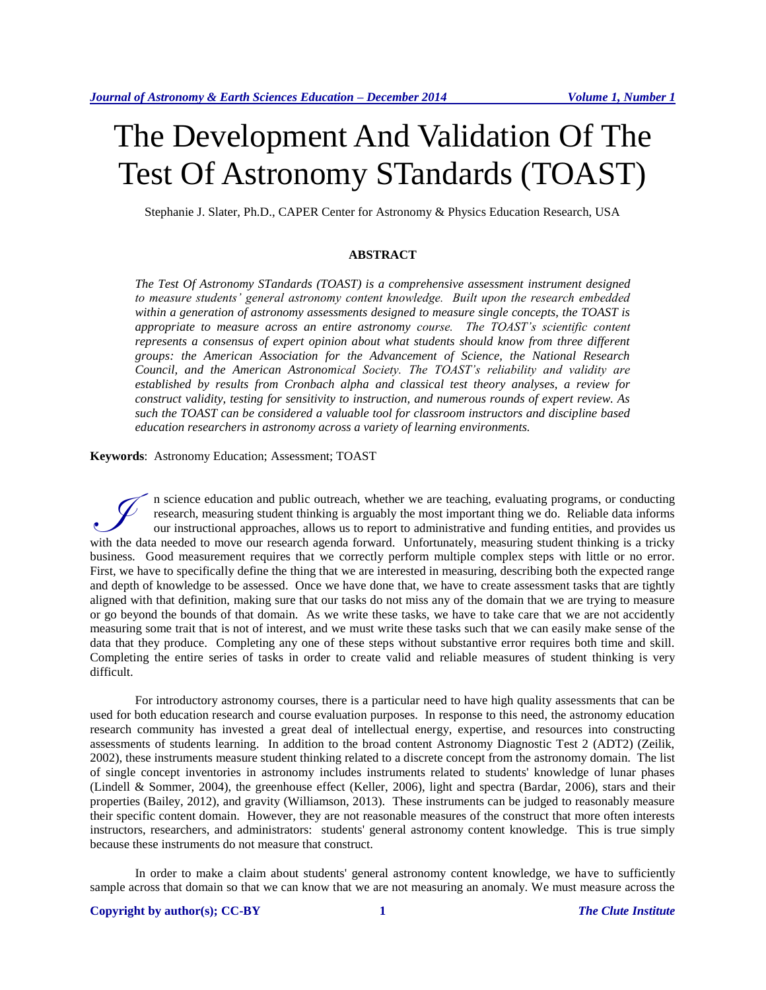# The Development And Validation Of The Test Of Astronomy STandards (TOAST)

Stephanie J. Slater, Ph.D., CAPER Center for Astronomy & Physics Education Research, USA

## **ABSTRACT**

*The Test Of Astronomy STandards (TOAST) is a comprehensive assessment instrument designed to measure students' general astronomy content knowledge. Built upon the research embedded within a generation of astronomy assessments designed to measure single concepts, the TOAST is appropriate to measure across an entire astronomy course. The TOAST's scientific content represents a consensus of expert opinion about what students should know from three different groups: the American Association for the Advancement of Science, the National Research Council, and the American Astronomical Society. The TOAST's reliability and validity are established by results from Cronbach alpha and classical test theory analyses, a review for construct validity, testing for sensitivity to instruction, and numerous rounds of expert review. As such the TOAST can be considered a valuable tool for classroom instructors and discipline based education researchers in astronomy across a variety of learning environments.* 

**Keywords**: Astronomy Education; Assessment; TOAST

n science education and public outreach, whether we are teaching, evaluating programs, or conducting research, measuring student thinking is arguably the most important thing we do. Reliable data informs our instructional approaches, allows us to report to administrative and funding entities, and provides us In science education and public outreach, whether we are teaching, evaluating programs, or conducting research, measuring student thinking is arguably the most important thing we do. Reliable data informs our instructional business. Good measurement requires that we correctly perform multiple complex steps with little or no error. First, we have to specifically define the thing that we are interested in measuring, describing both the expected range and depth of knowledge to be assessed. Once we have done that, we have to create assessment tasks that are tightly aligned with that definition, making sure that our tasks do not miss any of the domain that we are trying to measure or go beyond the bounds of that domain. As we write these tasks, we have to take care that we are not accidently measuring some trait that is not of interest, and we must write these tasks such that we can easily make sense of the data that they produce. Completing any one of these steps without substantive error requires both time and skill. Completing the entire series of tasks in order to create valid and reliable measures of student thinking is very difficult.

For introductory astronomy courses, there is a particular need to have high quality assessments that can be used for both education research and course evaluation purposes. In response to this need, the astronomy education research community has invested a great deal of intellectual energy, expertise, and resources into constructing assessments of students learning. In addition to the broad content Astronomy Diagnostic Test 2 (ADT2) (Zeilik, 2002), these instruments measure student thinking related to a discrete concept from the astronomy domain. The list of single concept inventories in astronomy includes instruments related to students' knowledge of lunar phases (Lindell & Sommer, 2004), the greenhouse effect (Keller, 2006), light and spectra (Bardar, 2006), stars and their properties (Bailey, 2012), and gravity (Williamson, 2013). These instruments can be judged to reasonably measure their specific content domain. However, they are not reasonable measures of the construct that more often interests instructors, researchers, and administrators: students' general astronomy content knowledge. This is true simply because these instruments do not measure that construct.

In order to make a claim about students' general astronomy content knowledge, we have to sufficiently sample across that domain so that we can know that we are not measuring an anomaly. We must measure across the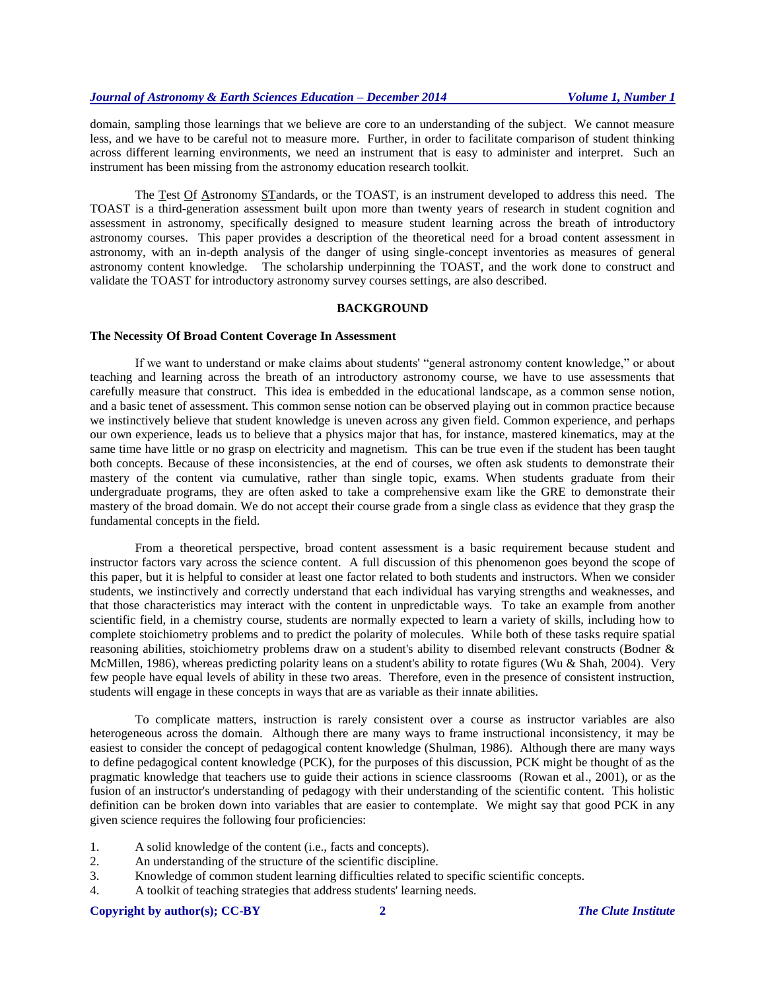domain, sampling those learnings that we believe are core to an understanding of the subject. We cannot measure less, and we have to be careful not to measure more. Further, in order to facilitate comparison of student thinking across different learning environments, we need an instrument that is easy to administer and interpret. Such an instrument has been missing from the astronomy education research toolkit.

The Test Of Astronomy STandards, or the TOAST, is an instrument developed to address this need. The TOAST is a third-generation assessment built upon more than twenty years of research in student cognition and assessment in astronomy, specifically designed to measure student learning across the breath of introductory astronomy courses. This paper provides a description of the theoretical need for a broad content assessment in astronomy, with an in-depth analysis of the danger of using single-concept inventories as measures of general astronomy content knowledge. The scholarship underpinning the TOAST, and the work done to construct and validate the TOAST for introductory astronomy survey courses settings, are also described.

#### **BACKGROUND**

#### **The Necessity Of Broad Content Coverage In Assessment**

If we want to understand or make claims about students' "general astronomy content knowledge," or about teaching and learning across the breath of an introductory astronomy course, we have to use assessments that carefully measure that construct. This idea is embedded in the educational landscape, as a common sense notion, and a basic tenet of assessment. This common sense notion can be observed playing out in common practice because we instinctively believe that student knowledge is uneven across any given field. Common experience, and perhaps our own experience, leads us to believe that a physics major that has, for instance, mastered kinematics, may at the same time have little or no grasp on electricity and magnetism. This can be true even if the student has been taught both concepts. Because of these inconsistencies, at the end of courses, we often ask students to demonstrate their mastery of the content via cumulative, rather than single topic, exams. When students graduate from their undergraduate programs, they are often asked to take a comprehensive exam like the GRE to demonstrate their mastery of the broad domain. We do not accept their course grade from a single class as evidence that they grasp the fundamental concepts in the field.

From a theoretical perspective, broad content assessment is a basic requirement because student and instructor factors vary across the science content. A full discussion of this phenomenon goes beyond the scope of this paper, but it is helpful to consider at least one factor related to both students and instructors. When we consider students, we instinctively and correctly understand that each individual has varying strengths and weaknesses, and that those characteristics may interact with the content in unpredictable ways. To take an example from another scientific field, in a chemistry course, students are normally expected to learn a variety of skills, including how to complete stoichiometry problems and to predict the polarity of molecules. While both of these tasks require spatial reasoning abilities, stoichiometry problems draw on a student's ability to disembed relevant constructs (Bodner & McMillen, 1986), whereas predicting polarity leans on a student's ability to rotate figures (Wu & Shah, 2004). Very few people have equal levels of ability in these two areas. Therefore, even in the presence of consistent instruction, students will engage in these concepts in ways that are as variable as their innate abilities.

To complicate matters, instruction is rarely consistent over a course as instructor variables are also heterogeneous across the domain. Although there are many ways to frame instructional inconsistency, it may be easiest to consider the concept of pedagogical content knowledge (Shulman, 1986). Although there are many ways to define pedagogical content knowledge (PCK), for the purposes of this discussion, PCK might be thought of as the pragmatic knowledge that teachers use to guide their actions in science classrooms (Rowan et al., 2001), or as the fusion of an instructor's understanding of pedagogy with their understanding of the scientific content. This holistic definition can be broken down into variables that are easier to contemplate. We might say that good PCK in any given science requires the following four proficiencies:

- 1. A solid knowledge of the content (i.e., facts and concepts).
- 2. An understanding of the structure of the scientific discipline.
- 3. Knowledge of common student learning difficulties related to specific scientific concepts.
- 4. A toolkit of teaching strategies that address students' learning needs.

## **Copyright by author(s); CC-BY 2** *The Clute Institute*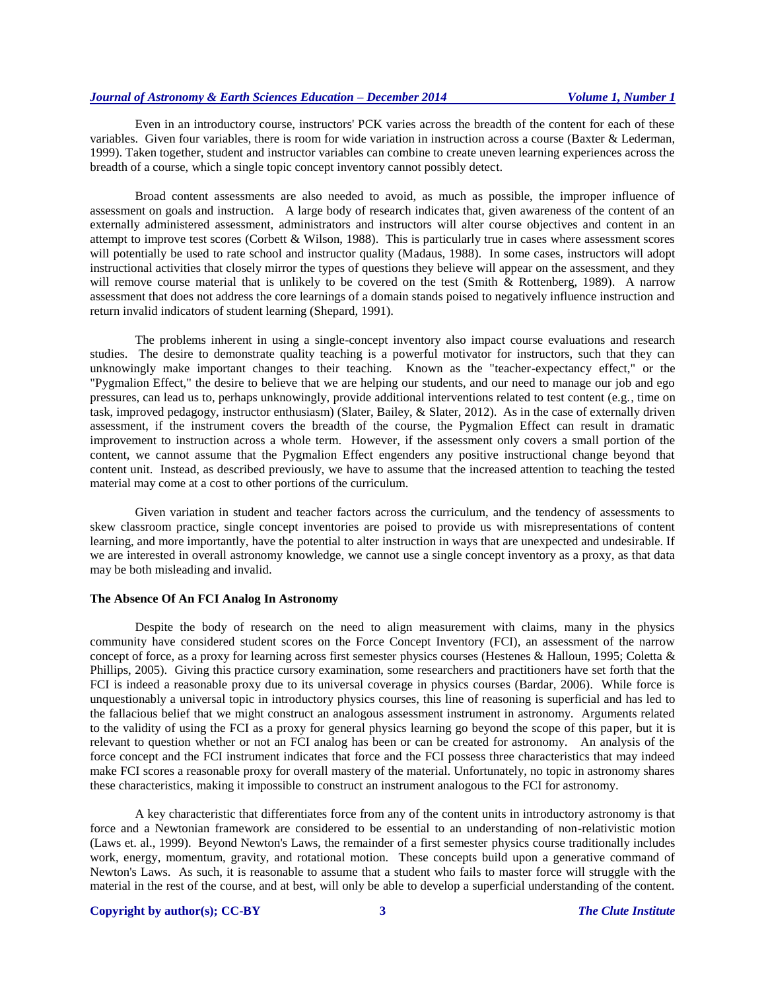Even in an introductory course, instructors' PCK varies across the breadth of the content for each of these variables. Given four variables, there is room for wide variation in instruction across a course (Baxter & Lederman, 1999). Taken together, student and instructor variables can combine to create uneven learning experiences across the breadth of a course, which a single topic concept inventory cannot possibly detect.

Broad content assessments are also needed to avoid, as much as possible, the improper influence of assessment on goals and instruction. A large body of research indicates that, given awareness of the content of an externally administered assessment, administrators and instructors will alter course objectives and content in an attempt to improve test scores (Corbett & Wilson, 1988). This is particularly true in cases where assessment scores will potentially be used to rate school and instructor quality (Madaus, 1988). In some cases, instructors will adopt instructional activities that closely mirror the types of questions they believe will appear on the assessment, and they will remove course material that is unlikely to be covered on the test (Smith & Rottenberg, 1989). A narrow assessment that does not address the core learnings of a domain stands poised to negatively influence instruction and return invalid indicators of student learning (Shepard, 1991).

The problems inherent in using a single-concept inventory also impact course evaluations and research studies. The desire to demonstrate quality teaching is a powerful motivator for instructors, such that they can unknowingly make important changes to their teaching. Known as the "teacher-expectancy effect," or the "Pygmalion Effect," the desire to believe that we are helping our students, and our need to manage our job and ego pressures, can lead us to, perhaps unknowingly, provide additional interventions related to test content (e.g., time on task, improved pedagogy, instructor enthusiasm) (Slater, Bailey, & Slater, 2012). As in the case of externally driven assessment, if the instrument covers the breadth of the course, the Pygmalion Effect can result in dramatic improvement to instruction across a whole term. However, if the assessment only covers a small portion of the content, we cannot assume that the Pygmalion Effect engenders any positive instructional change beyond that content unit. Instead, as described previously, we have to assume that the increased attention to teaching the tested material may come at a cost to other portions of the curriculum.

Given variation in student and teacher factors across the curriculum, and the tendency of assessments to skew classroom practice, single concept inventories are poised to provide us with misrepresentations of content learning, and more importantly, have the potential to alter instruction in ways that are unexpected and undesirable. If we are interested in overall astronomy knowledge, we cannot use a single concept inventory as a proxy, as that data may be both misleading and invalid.

## **The Absence Of An FCI Analog In Astronomy**

Despite the body of research on the need to align measurement with claims, many in the physics community have considered student scores on the Force Concept Inventory (FCI), an assessment of the narrow concept of force, as a proxy for learning across first semester physics courses (Hestenes & Halloun, 1995; Coletta & Phillips, 2005). Giving this practice cursory examination, some researchers and practitioners have set forth that the FCI is indeed a reasonable proxy due to its universal coverage in physics courses (Bardar, 2006). While force is unquestionably a universal topic in introductory physics courses, this line of reasoning is superficial and has led to the fallacious belief that we might construct an analogous assessment instrument in astronomy. Arguments related to the validity of using the FCI as a proxy for general physics learning go beyond the scope of this paper, but it is relevant to question whether or not an FCI analog has been or can be created for astronomy. An analysis of the force concept and the FCI instrument indicates that force and the FCI possess three characteristics that may indeed make FCI scores a reasonable proxy for overall mastery of the material. Unfortunately, no topic in astronomy shares these characteristics, making it impossible to construct an instrument analogous to the FCI for astronomy.

A key characteristic that differentiates force from any of the content units in introductory astronomy is that force and a Newtonian framework are considered to be essential to an understanding of non-relativistic motion (Laws et. al., 1999). Beyond Newton's Laws, the remainder of a first semester physics course traditionally includes work, energy, momentum, gravity, and rotational motion. These concepts build upon a generative command of Newton's Laws. As such, it is reasonable to assume that a student who fails to master force will struggle with the material in the rest of the course, and at best, will only be able to develop a superficial understanding of the content.

## **Copyright by author(s); CC-BY 3** *The Clute Institute*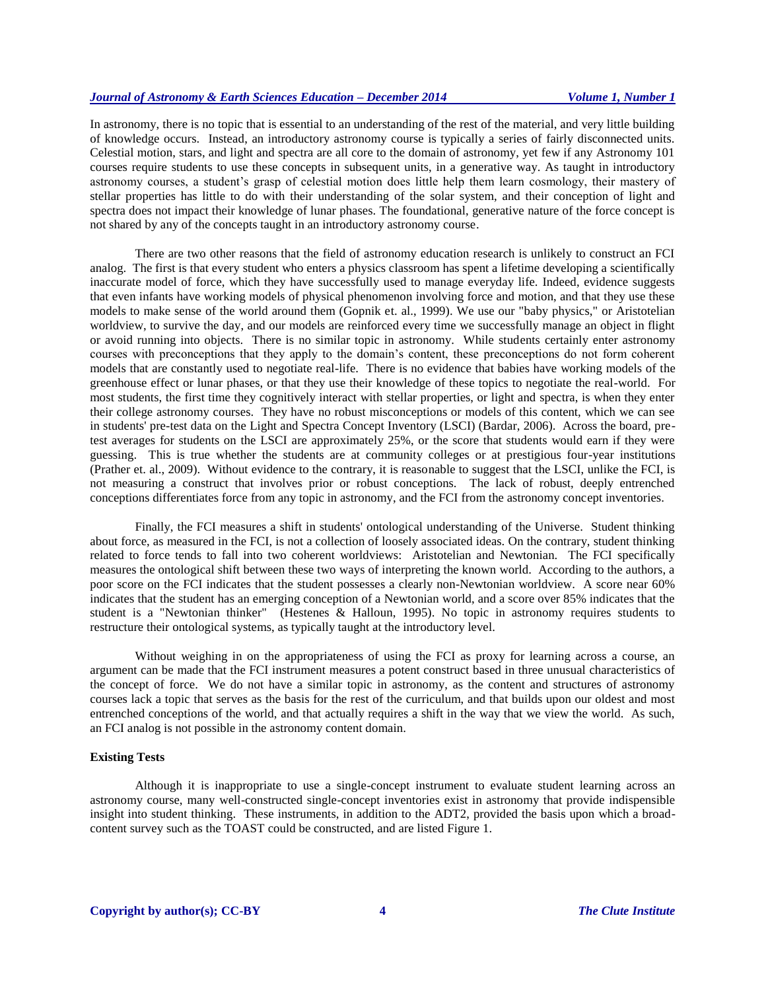In astronomy, there is no topic that is essential to an understanding of the rest of the material, and very little building of knowledge occurs. Instead, an introductory astronomy course is typically a series of fairly disconnected units. Celestial motion, stars, and light and spectra are all core to the domain of astronomy, yet few if any Astronomy 101 courses require students to use these concepts in subsequent units, in a generative way. As taught in introductory astronomy courses, a student's grasp of celestial motion does little help them learn cosmology, their mastery of stellar properties has little to do with their understanding of the solar system, and their conception of light and spectra does not impact their knowledge of lunar phases. The foundational, generative nature of the force concept is not shared by any of the concepts taught in an introductory astronomy course.

There are two other reasons that the field of astronomy education research is unlikely to construct an FCI analog. The first is that every student who enters a physics classroom has spent a lifetime developing a scientifically inaccurate model of force, which they have successfully used to manage everyday life. Indeed, evidence suggests that even infants have working models of physical phenomenon involving force and motion, and that they use these models to make sense of the world around them (Gopnik et. al., 1999). We use our "baby physics," or Aristotelian worldview, to survive the day, and our models are reinforced every time we successfully manage an object in flight or avoid running into objects. There is no similar topic in astronomy. While students certainly enter astronomy courses with preconceptions that they apply to the domain's content, these preconceptions do not form coherent models that are constantly used to negotiate real-life. There is no evidence that babies have working models of the greenhouse effect or lunar phases, or that they use their knowledge of these topics to negotiate the real-world. For most students, the first time they cognitively interact with stellar properties, or light and spectra, is when they enter their college astronomy courses. They have no robust misconceptions or models of this content, which we can see in students' pre-test data on the Light and Spectra Concept Inventory (LSCI) (Bardar, 2006). Across the board, pretest averages for students on the LSCI are approximately 25%, or the score that students would earn if they were guessing. This is true whether the students are at community colleges or at prestigious four-year institutions (Prather et. al., 2009). Without evidence to the contrary, it is reasonable to suggest that the LSCI, unlike the FCI, is not measuring a construct that involves prior or robust conceptions. The lack of robust, deeply entrenched conceptions differentiates force from any topic in astronomy, and the FCI from the astronomy concept inventories.

Finally, the FCI measures a shift in students' ontological understanding of the Universe. Student thinking about force, as measured in the FCI, is not a collection of loosely associated ideas. On the contrary, student thinking related to force tends to fall into two coherent worldviews: Aristotelian and Newtonian. The FCI specifically measures the ontological shift between these two ways of interpreting the known world. According to the authors, a poor score on the FCI indicates that the student possesses a clearly non-Newtonian worldview. A score near 60% indicates that the student has an emerging conception of a Newtonian world, and a score over 85% indicates that the student is a "Newtonian thinker" (Hestenes & Halloun, 1995). No topic in astronomy requires students to restructure their ontological systems, as typically taught at the introductory level.

Without weighing in on the appropriateness of using the FCI as proxy for learning across a course, an argument can be made that the FCI instrument measures a potent construct based in three unusual characteristics of the concept of force. We do not have a similar topic in astronomy, as the content and structures of astronomy courses lack a topic that serves as the basis for the rest of the curriculum, and that builds upon our oldest and most entrenched conceptions of the world, and that actually requires a shift in the way that we view the world. As such, an FCI analog is not possible in the astronomy content domain.

## **Existing Tests**

Although it is inappropriate to use a single-concept instrument to evaluate student learning across an astronomy course, many well-constructed single-concept inventories exist in astronomy that provide indispensible insight into student thinking. These instruments, in addition to the ADT2, provided the basis upon which a broadcontent survey such as the TOAST could be constructed, and are listed Figure 1.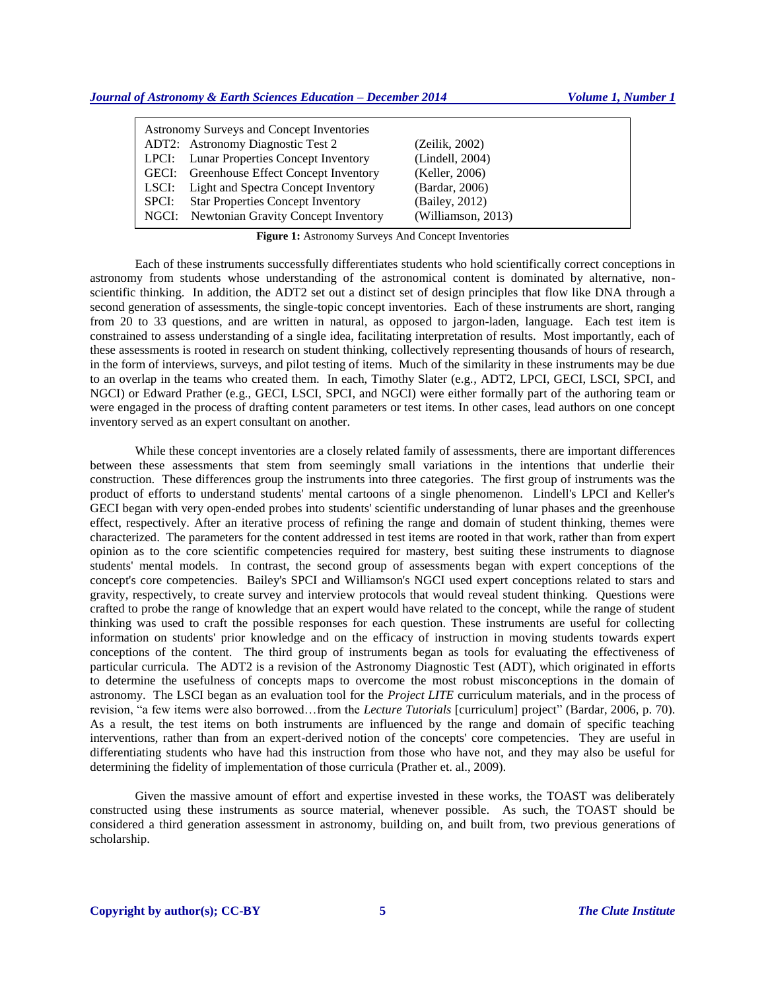| (Zeilik, 2002)                                                                                                                                                                                                                                                                                                      |  |
|---------------------------------------------------------------------------------------------------------------------------------------------------------------------------------------------------------------------------------------------------------------------------------------------------------------------|--|
| (Lindell, 2004)                                                                                                                                                                                                                                                                                                     |  |
| (Keller, 2006)                                                                                                                                                                                                                                                                                                      |  |
| (Bardar, 2006)                                                                                                                                                                                                                                                                                                      |  |
| (Bailey, 2012)                                                                                                                                                                                                                                                                                                      |  |
| (Williamson, 2013)                                                                                                                                                                                                                                                                                                  |  |
| <b>Astronomy Surveys and Concept Inventories</b><br>ADT2: Astronomy Diagnostic Test 2<br>LPCI: Lunar Properties Concept Inventory<br>GECI: Greenhouse Effect Concept Inventory<br>LSCI: Light and Spectra Concept Inventory<br>SPCI: Star Properties Concept Inventory<br>NGCI: Newtonian Gravity Concept Inventory |  |

**Figure 1:** Astronomy Surveys And Concept Inventories

Each of these instruments successfully differentiates students who hold scientifically correct conceptions in astronomy from students whose understanding of the astronomical content is dominated by alternative, nonscientific thinking. In addition, the ADT2 set out a distinct set of design principles that flow like DNA through a second generation of assessments, the single-topic concept inventories. Each of these instruments are short, ranging from 20 to 33 questions, and are written in natural, as opposed to jargon-laden, language. Each test item is constrained to assess understanding of a single idea, facilitating interpretation of results. Most importantly, each of these assessments is rooted in research on student thinking, collectively representing thousands of hours of research, in the form of interviews, surveys, and pilot testing of items. Much of the similarity in these instruments may be due to an overlap in the teams who created them. In each, Timothy Slater (e.g., ADT2, LPCI, GECI, LSCI, SPCI, and NGCI) or Edward Prather (e.g., GECI, LSCI, SPCI, and NGCI) were either formally part of the authoring team or were engaged in the process of drafting content parameters or test items. In other cases, lead authors on one concept inventory served as an expert consultant on another.

While these concept inventories are a closely related family of assessments, there are important differences between these assessments that stem from seemingly small variations in the intentions that underlie their construction. These differences group the instruments into three categories. The first group of instruments was the product of efforts to understand students' mental cartoons of a single phenomenon. Lindell's LPCI and Keller's GECI began with very open-ended probes into students' scientific understanding of lunar phases and the greenhouse effect, respectively. After an iterative process of refining the range and domain of student thinking, themes were characterized. The parameters for the content addressed in test items are rooted in that work, rather than from expert opinion as to the core scientific competencies required for mastery, best suiting these instruments to diagnose students' mental models. In contrast, the second group of assessments began with expert conceptions of the concept's core competencies. Bailey's SPCI and Williamson's NGCI used expert conceptions related to stars and gravity, respectively, to create survey and interview protocols that would reveal student thinking. Questions were crafted to probe the range of knowledge that an expert would have related to the concept, while the range of student thinking was used to craft the possible responses for each question. These instruments are useful for collecting information on students' prior knowledge and on the efficacy of instruction in moving students towards expert conceptions of the content. The third group of instruments began as tools for evaluating the effectiveness of particular curricula. The ADT2 is a revision of the Astronomy Diagnostic Test (ADT), which originated in efforts to determine the usefulness of concepts maps to overcome the most robust misconceptions in the domain of astronomy. The LSCI began as an evaluation tool for the *Project LITE* curriculum materials, and in the process of revision, "a few items were also borrowed…from the *Lecture Tutorials* [curriculum] project" (Bardar, 2006, p. 70). As a result, the test items on both instruments are influenced by the range and domain of specific teaching interventions, rather than from an expert-derived notion of the concepts' core competencies. They are useful in differentiating students who have had this instruction from those who have not, and they may also be useful for determining the fidelity of implementation of those curricula (Prather et. al., 2009).

Given the massive amount of effort and expertise invested in these works, the TOAST was deliberately constructed using these instruments as source material, whenever possible. As such, the TOAST should be considered a third generation assessment in astronomy, building on, and built from, two previous generations of scholarship.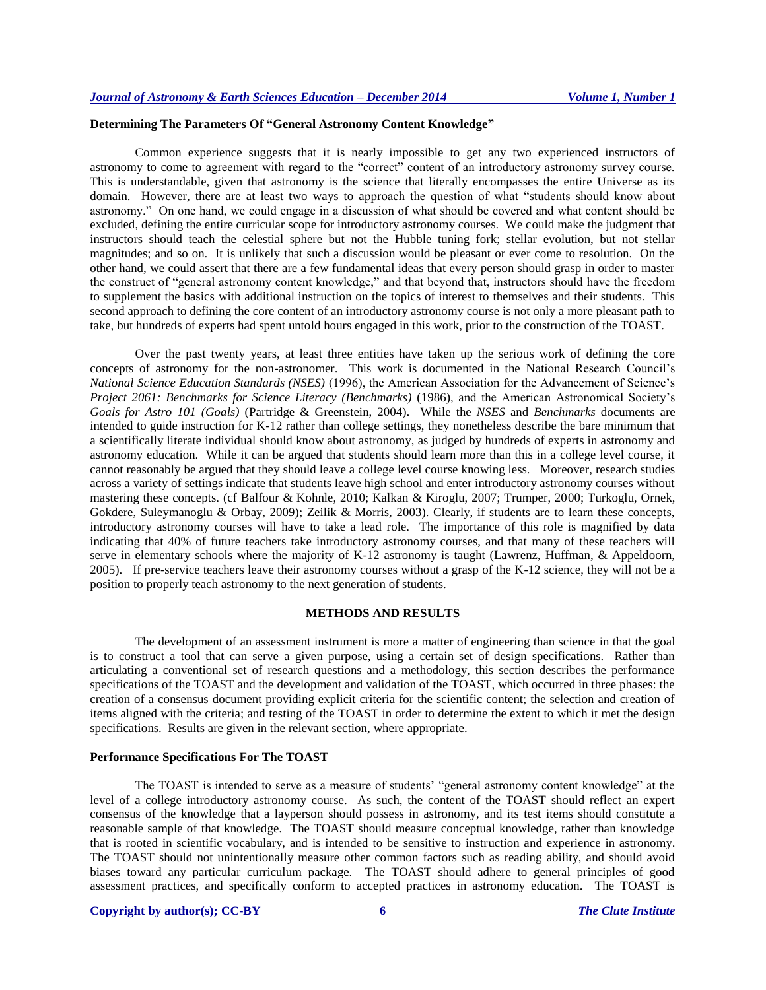## **Determining The Parameters Of "General Astronomy Content Knowledge"**

Common experience suggests that it is nearly impossible to get any two experienced instructors of astronomy to come to agreement with regard to the "correct" content of an introductory astronomy survey course. This is understandable, given that astronomy is the science that literally encompasses the entire Universe as its domain. However, there are at least two ways to approach the question of what "students should know about astronomy." On one hand, we could engage in a discussion of what should be covered and what content should be excluded, defining the entire curricular scope for introductory astronomy courses. We could make the judgment that instructors should teach the celestial sphere but not the Hubble tuning fork; stellar evolution, but not stellar magnitudes; and so on. It is unlikely that such a discussion would be pleasant or ever come to resolution. On the other hand, we could assert that there are a few fundamental ideas that every person should grasp in order to master the construct of "general astronomy content knowledge," and that beyond that, instructors should have the freedom to supplement the basics with additional instruction on the topics of interest to themselves and their students. This second approach to defining the core content of an introductory astronomy course is not only a more pleasant path to take, but hundreds of experts had spent untold hours engaged in this work, prior to the construction of the TOAST.

Over the past twenty years, at least three entities have taken up the serious work of defining the core concepts of astronomy for the non-astronomer. This work is documented in the National Research Council's *National Science Education Standards (NSES)* (1996), the American Association for the Advancement of Science's *Project 2061: Benchmarks for Science Literacy (Benchmarks)* (1986)*,* and the American Astronomical Society's *Goals for Astro 101 (Goals)* (Partridge & Greenstein, 2004)*.* While the *NSES* and *Benchmarks* documents are intended to guide instruction for K-12 rather than college settings, they nonetheless describe the bare minimum that a scientifically literate individual should know about astronomy, as judged by hundreds of experts in astronomy and astronomy education. While it can be argued that students should learn more than this in a college level course, it cannot reasonably be argued that they should leave a college level course knowing less. Moreover, research studies across a variety of settings indicate that students leave high school and enter introductory astronomy courses without mastering these concepts. (cf Balfour & Kohnle, 2010; Kalkan & Kiroglu, 2007; Trumper, 2000; Turkoglu, Ornek, Gokdere, Suleymanoglu & Orbay, 2009); Zeilik & Morris, 2003). Clearly, if students are to learn these concepts, introductory astronomy courses will have to take a lead role. The importance of this role is magnified by data indicating that 40% of future teachers take introductory astronomy courses, and that many of these teachers will serve in elementary schools where the majority of K-12 astronomy is taught (Lawrenz, Huffman, & Appeldoorn, 2005). If pre-service teachers leave their astronomy courses without a grasp of the K-12 science, they will not be a position to properly teach astronomy to the next generation of students.

## **METHODS AND RESULTS**

The development of an assessment instrument is more a matter of engineering than science in that the goal is to construct a tool that can serve a given purpose, using a certain set of design specifications. Rather than articulating a conventional set of research questions and a methodology, this section describes the performance specifications of the TOAST and the development and validation of the TOAST, which occurred in three phases: the creation of a consensus document providing explicit criteria for the scientific content; the selection and creation of items aligned with the criteria; and testing of the TOAST in order to determine the extent to which it met the design specifications. Results are given in the relevant section, where appropriate.

#### **Performance Specifications For The TOAST**

The TOAST is intended to serve as a measure of students' "general astronomy content knowledge" at the level of a college introductory astronomy course. As such, the content of the TOAST should reflect an expert consensus of the knowledge that a layperson should possess in astronomy, and its test items should constitute a reasonable sample of that knowledge. The TOAST should measure conceptual knowledge, rather than knowledge that is rooted in scientific vocabulary, and is intended to be sensitive to instruction and experience in astronomy. The TOAST should not unintentionally measure other common factors such as reading ability, and should avoid biases toward any particular curriculum package. The TOAST should adhere to general principles of good assessment practices, and specifically conform to accepted practices in astronomy education. The TOAST is

#### **Copyright by author(s); CC-BY 6** *The Clute Institute*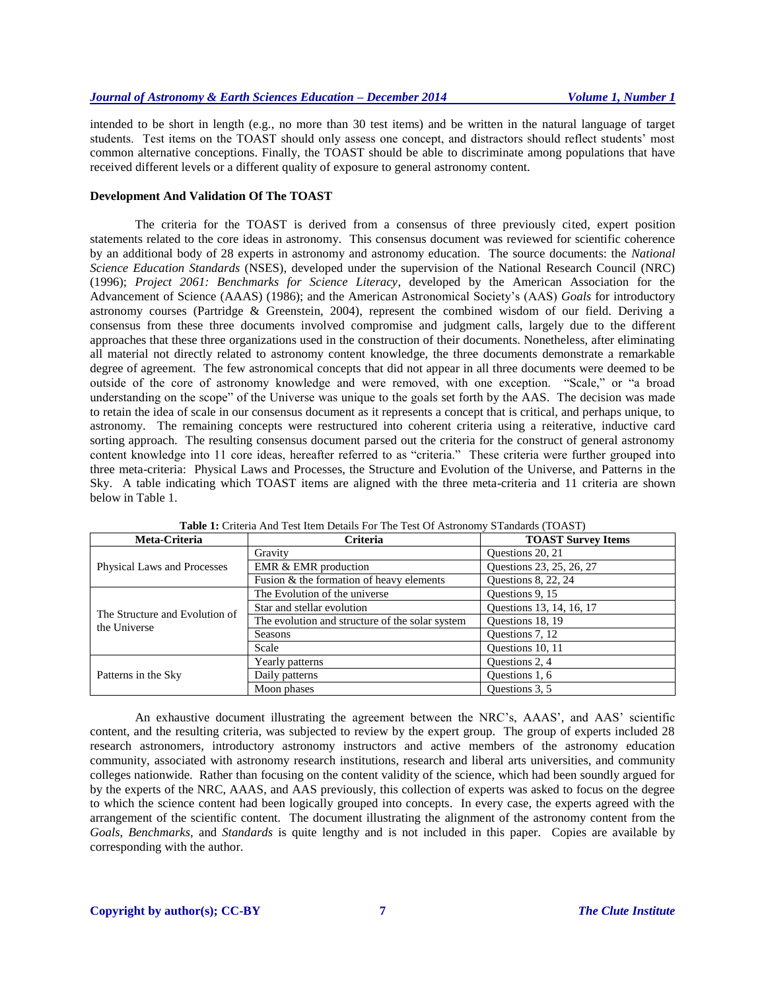intended to be short in length (e.g., no more than 30 test items) and be written in the natural language of target students. Test items on the TOAST should only assess one concept, and distractors should reflect students' most common alternative conceptions. Finally, the TOAST should be able to discriminate among populations that have received different levels or a different quality of exposure to general astronomy content.

## **Development And Validation Of The TOAST**

The criteria for the TOAST is derived from a consensus of three previously cited, expert position statements related to the core ideas in astronomy. This consensus document was reviewed for scientific coherence by an additional body of 28 experts in astronomy and astronomy education. The source documents: the *National Science Education Standards* (NSES), developed under the supervision of the National Research Council (NRC) (1996); *Project 2061: Benchmarks for Science Literacy*, developed by the American Association for the Advancement of Science (AAAS) (1986); and the American Astronomical Society's (AAS) *Goals* for introductory astronomy courses (Partridge & Greenstein, 2004), represent the combined wisdom of our field. Deriving a consensus from these three documents involved compromise and judgment calls, largely due to the different approaches that these three organizations used in the construction of their documents. Nonetheless, after eliminating all material not directly related to astronomy content knowledge, the three documents demonstrate a remarkable degree of agreement. The few astronomical concepts that did not appear in all three documents were deemed to be outside of the core of astronomy knowledge and were removed, with one exception. "Scale," or "a broad understanding on the scope" of the Universe was unique to the goals set forth by the AAS. The decision was made to retain the idea of scale in our consensus document as it represents a concept that is critical, and perhaps unique, to astronomy. The remaining concepts were restructured into coherent criteria using a reiterative, inductive card sorting approach. The resulting consensus document parsed out the criteria for the construct of general astronomy content knowledge into 11 core ideas, hereafter referred to as "criteria." These criteria were further grouped into three meta-criteria: Physical Laws and Processes, the Structure and Evolution of the Universe, and Patterns in the Sky. A table indicating which TOAST items are aligned with the three meta-criteria and 11 criteria are shown below in Table 1.

| Meta-Criteria                  | <b>Criteria</b>                                 | <b>TOAST Survey Items</b>  |
|--------------------------------|-------------------------------------------------|----------------------------|
|                                | Gravity                                         | Questions 20, 21           |
| Physical Laws and Processes    | EMR & EMR production                            | Questions 23, 25, 26, 27   |
|                                | Fusion & the formation of heavy elements        | <b>Ouestions 8, 22, 24</b> |
|                                | The Evolution of the universe                   | Questions 9, 15            |
| The Structure and Evolution of | Star and stellar evolution                      | Questions 13, 14, 16, 17   |
| the Universe                   | The evolution and structure of the solar system | Questions 18, 19           |
|                                | Questions 7, 12<br><b>Seasons</b>               |                            |
|                                | Scale                                           | Questions 10, 11           |
|                                | Yearly patterns                                 | Questions 2, 4             |
| Patterns in the Sky            | Daily patterns                                  | Questions 1, 6             |
|                                | Moon phases                                     | Ouestions 3, 5             |

**Table 1:** Criteria And Test Item Details For The Test Of Astronomy STandards (TOAST)

An exhaustive document illustrating the agreement between the NRC's, AAAS', and AAS' scientific content, and the resulting criteria, was subjected to review by the expert group. The group of experts included 28 research astronomers, introductory astronomy instructors and active members of the astronomy education community, associated with astronomy research institutions, research and liberal arts universities, and community colleges nationwide. Rather than focusing on the content validity of the science, which had been soundly argued for by the experts of the NRC, AAAS, and AAS previously, this collection of experts was asked to focus on the degree to which the science content had been logically grouped into concepts. In every case, the experts agreed with the arrangement of the scientific content. The document illustrating the alignment of the astronomy content from the *Goals, Benchmarks,* and *Standards* is quite lengthy and is not included in this paper. Copies are available by corresponding with the author.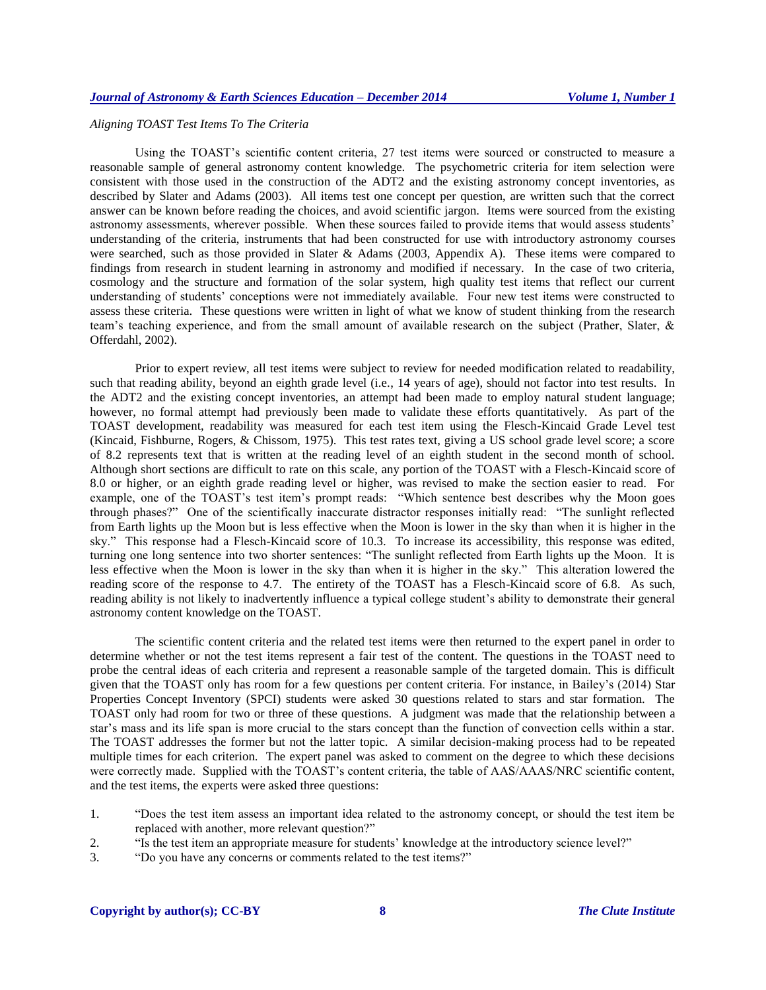## *Aligning TOAST Test Items To The Criteria*

Using the TOAST's scientific content criteria, 27 test items were sourced or constructed to measure a reasonable sample of general astronomy content knowledge. The psychometric criteria for item selection were consistent with those used in the construction of the ADT2 and the existing astronomy concept inventories, as described by Slater and Adams (2003). All items test one concept per question, are written such that the correct answer can be known before reading the choices, and avoid scientific jargon. Items were sourced from the existing astronomy assessments, wherever possible. When these sources failed to provide items that would assess students' understanding of the criteria, instruments that had been constructed for use with introductory astronomy courses were searched, such as those provided in Slater & Adams (2003, Appendix A). These items were compared to findings from research in student learning in astronomy and modified if necessary. In the case of two criteria, cosmology and the structure and formation of the solar system, high quality test items that reflect our current understanding of students' conceptions were not immediately available. Four new test items were constructed to assess these criteria. These questions were written in light of what we know of student thinking from the research team's teaching experience, and from the small amount of available research on the subject (Prather, Slater, & Offerdahl, 2002).

Prior to expert review, all test items were subject to review for needed modification related to readability, such that reading ability, beyond an eighth grade level (i.e., 14 years of age), should not factor into test results. In the ADT2 and the existing concept inventories, an attempt had been made to employ natural student language; however, no formal attempt had previously been made to validate these efforts quantitatively. As part of the TOAST development, readability was measured for each test item using the Flesch-Kincaid Grade Level test (Kincaid, Fishburne, Rogers, & Chissom, 1975). This test rates text, giving a US school grade level score; a score of 8.2 represents text that is written at the reading level of an eighth student in the second month of school. Although short sections are difficult to rate on this scale, any portion of the TOAST with a Flesch-Kincaid score of 8.0 or higher, or an eighth grade reading level or higher, was revised to make the section easier to read. For example, one of the TOAST's test item's prompt reads: "Which sentence best describes why the Moon goes through phases?" One of the scientifically inaccurate distractor responses initially read: "The sunlight reflected from Earth lights up the Moon but is less effective when the Moon is lower in the sky than when it is higher in the sky." This response had a Flesch-Kincaid score of 10.3. To increase its accessibility, this response was edited, turning one long sentence into two shorter sentences: "The sunlight reflected from Earth lights up the Moon. It is less effective when the Moon is lower in the sky than when it is higher in the sky." This alteration lowered the reading score of the response to 4.7. The entirety of the TOAST has a Flesch-Kincaid score of 6.8. As such, reading ability is not likely to inadvertently influence a typical college student's ability to demonstrate their general astronomy content knowledge on the TOAST.

The scientific content criteria and the related test items were then returned to the expert panel in order to determine whether or not the test items represent a fair test of the content. The questions in the TOAST need to probe the central ideas of each criteria and represent a reasonable sample of the targeted domain. This is difficult given that the TOAST only has room for a few questions per content criteria. For instance, in Bailey's (2014) Star Properties Concept Inventory (SPCI) students were asked 30 questions related to stars and star formation. The TOAST only had room for two or three of these questions. A judgment was made that the relationship between a star's mass and its life span is more crucial to the stars concept than the function of convection cells within a star. The TOAST addresses the former but not the latter topic. A similar decision-making process had to be repeated multiple times for each criterion. The expert panel was asked to comment on the degree to which these decisions were correctly made. Supplied with the TOAST's content criteria, the table of AAS/AAAS/NRC scientific content, and the test items, the experts were asked three questions:

- 2. "Is the test item an appropriate measure for students' knowledge at the introductory science level?"
- 3. "Do you have any concerns or comments related to the test items?"

<sup>1.</sup> "Does the test item assess an important idea related to the astronomy concept, or should the test item be replaced with another, more relevant question?"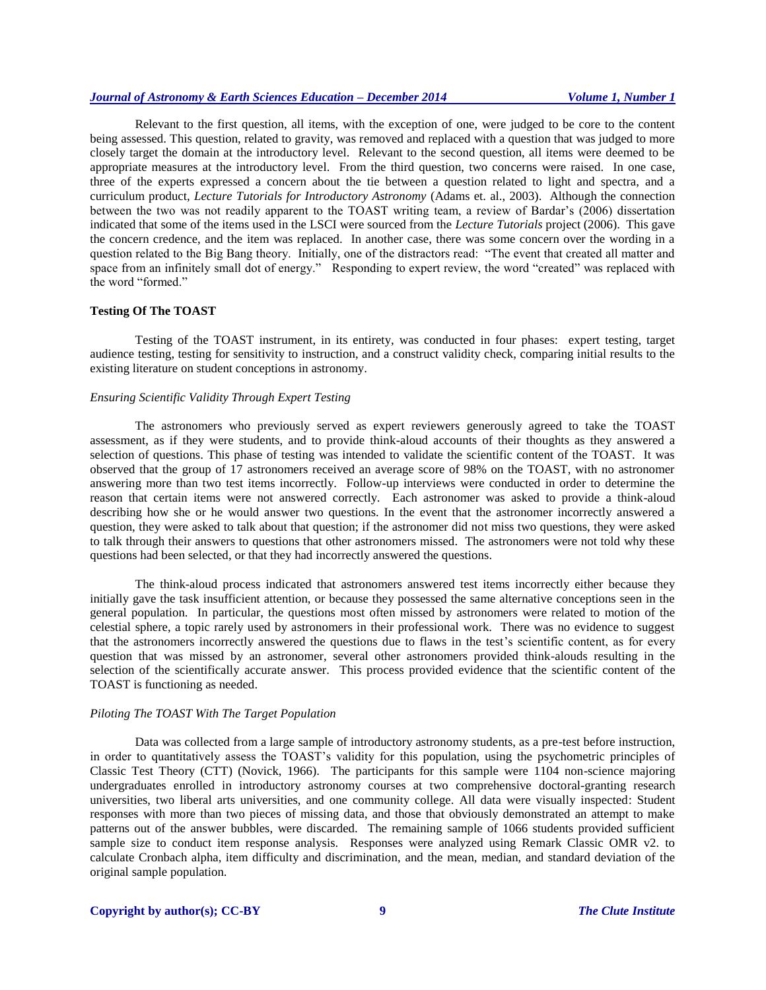Relevant to the first question, all items, with the exception of one, were judged to be core to the content being assessed. This question, related to gravity, was removed and replaced with a question that was judged to more closely target the domain at the introductory level. Relevant to the second question, all items were deemed to be appropriate measures at the introductory level. From the third question, two concerns were raised. In one case, three of the experts expressed a concern about the tie between a question related to light and spectra, and a curriculum product, *Lecture Tutorials for Introductory Astronomy* (Adams et. al., 2003). Although the connection between the two was not readily apparent to the TOAST writing team, a review of Bardar's (2006) dissertation indicated that some of the items used in the LSCI were sourced from the *Lecture Tutorials* project (2006). This gave the concern credence, and the item was replaced. In another case, there was some concern over the wording in a question related to the Big Bang theory. Initially, one of the distractors read: "The event that created all matter and space from an infinitely small dot of energy." Responding to expert review, the word "created" was replaced with the word "formed."

#### **Testing Of The TOAST**

Testing of the TOAST instrument, in its entirety, was conducted in four phases: expert testing, target audience testing, testing for sensitivity to instruction, and a construct validity check, comparing initial results to the existing literature on student conceptions in astronomy.

#### *Ensuring Scientific Validity Through Expert Testing*

The astronomers who previously served as expert reviewers generously agreed to take the TOAST assessment, as if they were students, and to provide think-aloud accounts of their thoughts as they answered a selection of questions. This phase of testing was intended to validate the scientific content of the TOAST. It was observed that the group of 17 astronomers received an average score of 98% on the TOAST, with no astronomer answering more than two test items incorrectly. Follow-up interviews were conducted in order to determine the reason that certain items were not answered correctly. Each astronomer was asked to provide a think-aloud describing how she or he would answer two questions. In the event that the astronomer incorrectly answered a question, they were asked to talk about that question; if the astronomer did not miss two questions, they were asked to talk through their answers to questions that other astronomers missed. The astronomers were not told why these questions had been selected, or that they had incorrectly answered the questions.

The think-aloud process indicated that astronomers answered test items incorrectly either because they initially gave the task insufficient attention, or because they possessed the same alternative conceptions seen in the general population. In particular, the questions most often missed by astronomers were related to motion of the celestial sphere, a topic rarely used by astronomers in their professional work. There was no evidence to suggest that the astronomers incorrectly answered the questions due to flaws in the test's scientific content, as for every question that was missed by an astronomer, several other astronomers provided think-alouds resulting in the selection of the scientifically accurate answer. This process provided evidence that the scientific content of the TOAST is functioning as needed.

#### *Piloting The TOAST With The Target Population*

Data was collected from a large sample of introductory astronomy students, as a pre-test before instruction, in order to quantitatively assess the TOAST's validity for this population, using the psychometric principles of Classic Test Theory (CTT) (Novick, 1966). The participants for this sample were 1104 non-science majoring undergraduates enrolled in introductory astronomy courses at two comprehensive doctoral-granting research universities, two liberal arts universities, and one community college. All data were visually inspected: Student responses with more than two pieces of missing data, and those that obviously demonstrated an attempt to make patterns out of the answer bubbles, were discarded. The remaining sample of 1066 students provided sufficient sample size to conduct item response analysis. Responses were analyzed using Remark Classic OMR v2. to calculate Cronbach alpha, item difficulty and discrimination, and the mean, median, and standard deviation of the original sample population.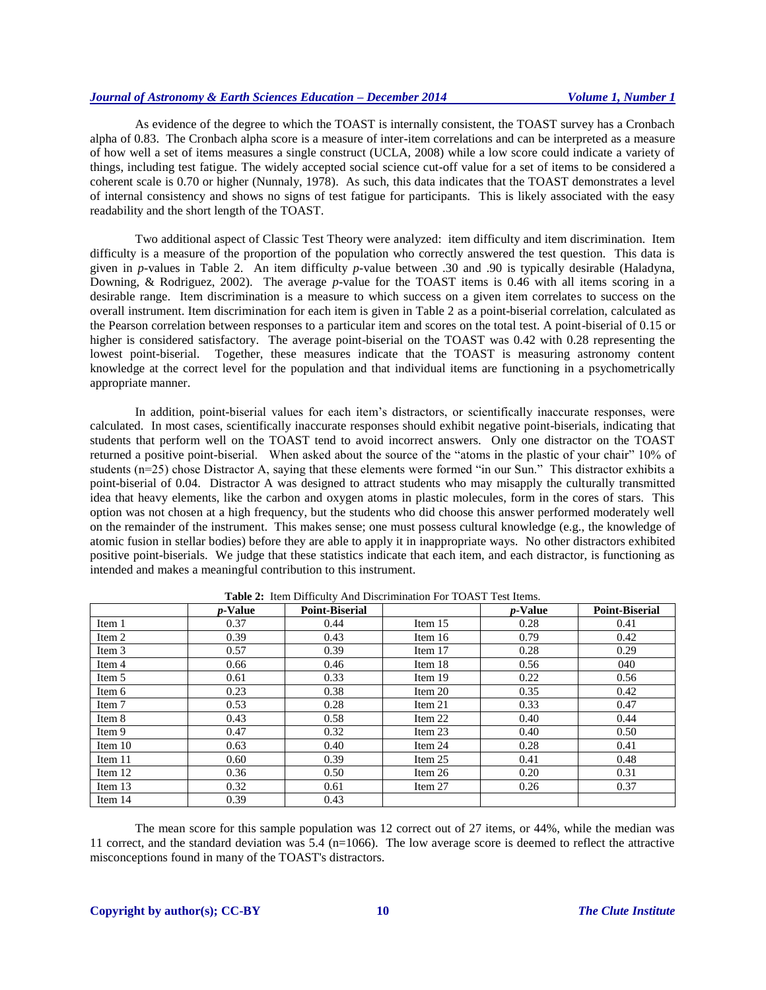As evidence of the degree to which the TOAST is internally consistent, the TOAST survey has a Cronbach alpha of 0.83. The Cronbach alpha score is a measure of inter-item correlations and can be interpreted as a measure of how well a set of items measures a single construct (UCLA, 2008) while a low score could indicate a variety of things, including test fatigue. The widely accepted social science cut-off value for a set of items to be considered a coherent scale is 0.70 or higher (Nunnaly, 1978). As such, this data indicates that the TOAST demonstrates a level of internal consistency and shows no signs of test fatigue for participants. This is likely associated with the easy readability and the short length of the TOAST.

Two additional aspect of Classic Test Theory were analyzed: item difficulty and item discrimination. Item difficulty is a measure of the proportion of the population who correctly answered the test question. This data is given in *p*-values in Table 2. An item difficulty *p*-value between .30 and .90 is typically desirable (Haladyna, Downing, & Rodriguez, 2002). The average *p*-value for the TOAST items is 0.46 with all items scoring in a desirable range. Item discrimination is a measure to which success on a given item correlates to success on the overall instrument. Item discrimination for each item is given in Table 2 as a point-biserial correlation, calculated as the Pearson correlation between responses to a particular item and scores on the total test. A point-biserial of 0.15 or higher is considered satisfactory. The average point-biserial on the TOAST was 0.42 with 0.28 representing the lowest point-biserial. Together, these measures indicate that the TOAST is measuring astronomy content knowledge at the correct level for the population and that individual items are functioning in a psychometrically appropriate manner.

In addition, point-biserial values for each item's distractors, or scientifically inaccurate responses, were calculated. In most cases, scientifically inaccurate responses should exhibit negative point-biserials, indicating that students that perform well on the TOAST tend to avoid incorrect answers. Only one distractor on the TOAST returned a positive point-biserial. When asked about the source of the "atoms in the plastic of your chair" 10% of students (n=25) chose Distractor A, saying that these elements were formed "in our Sun." This distractor exhibits a point-biserial of 0.04. Distractor A was designed to attract students who may misapply the culturally transmitted idea that heavy elements, like the carbon and oxygen atoms in plastic molecules, form in the cores of stars. This option was not chosen at a high frequency, but the students who did choose this answer performed moderately well on the remainder of the instrument. This makes sense; one must possess cultural knowledge (e.g., the knowledge of atomic fusion in stellar bodies) before they are able to apply it in inappropriate ways. No other distractors exhibited positive point-biserials. We judge that these statistics indicate that each item, and each distractor, is functioning as intended and makes a meaningful contribution to this instrument.

|         | <i>p</i> -Value | <b>Point-Biserial</b> |           | <i>p</i> -Value | <b>Point-Biserial</b> |
|---------|-----------------|-----------------------|-----------|-----------------|-----------------------|
| Item 1  | 0.37            | 0.44                  | Item 15   | 0.28            | 0.41                  |
| Item 2  | 0.39            | 0.43                  | Item $16$ | 0.79            | 0.42                  |
| Item 3  | 0.57            | 0.39                  | Item 17   | 0.28            | 0.29                  |
| Item 4  | 0.66            | 0.46                  | Item 18   | 0.56            | 040                   |
| Item 5  | 0.61            | 0.33                  | Item 19   | 0.22            | 0.56                  |
| Item 6  | 0.23            | 0.38                  | Item $20$ | 0.35            | 0.42                  |
| Item 7  | 0.53            | 0.28                  | Item $21$ | 0.33            | 0.47                  |
| Item 8  | 0.43            | 0.58                  | Item 22   | 0.40            | 0.44                  |
| Item 9  | 0.47            | 0.32                  | Item $23$ | 0.40            | 0.50                  |
| Item 10 | 0.63            | 0.40                  | Item 24   | 0.28            | 0.41                  |
| Item 11 | 0.60            | 0.39                  | Item $25$ | 0.41            | 0.48                  |
| Item 12 | 0.36            | 0.50                  | Item 26   | 0.20            | 0.31                  |
| Item 13 | 0.32            | 0.61                  | Item 27   | 0.26            | 0.37                  |
| Item 14 | 0.39            | 0.43                  |           |                 |                       |

**Table 2:** Item Difficulty And Discrimination For TOAST Test Items.

The mean score for this sample population was 12 correct out of 27 items, or 44%, while the median was 11 correct, and the standard deviation was 5.4 (n=1066). The low average score is deemed to reflect the attractive misconceptions found in many of the TOAST's distractors.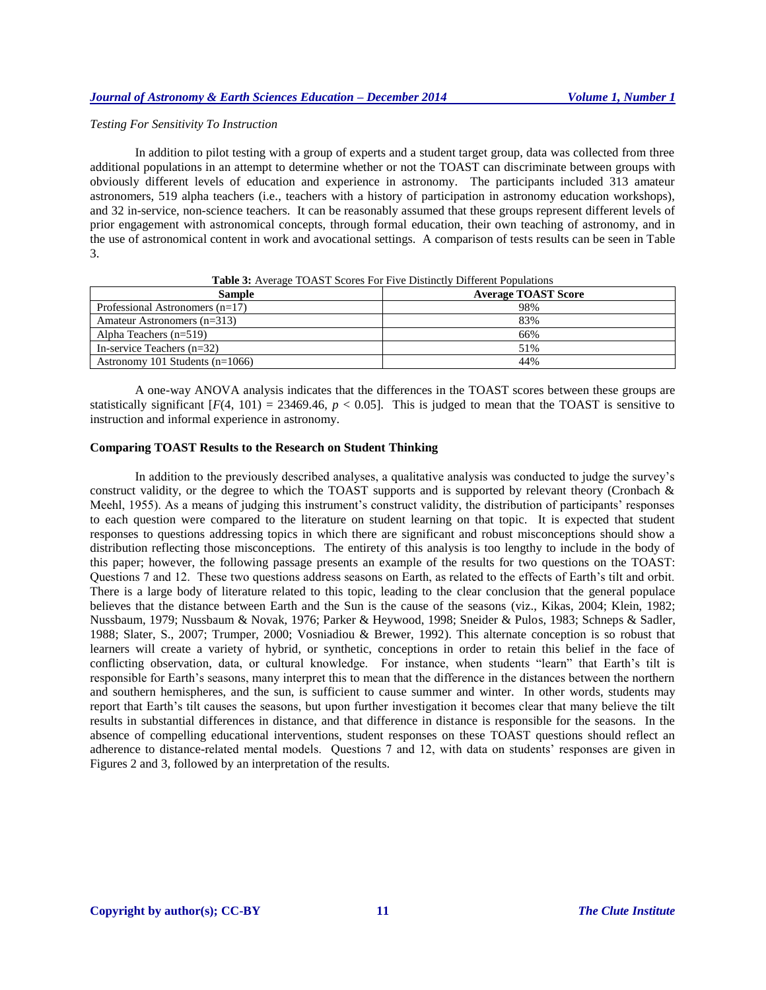#### *Testing For Sensitivity To Instruction*

In addition to pilot testing with a group of experts and a student target group, data was collected from three additional populations in an attempt to determine whether or not the TOAST can discriminate between groups with obviously different levels of education and experience in astronomy. The participants included 313 amateur astronomers, 519 alpha teachers (i.e., teachers with a history of participation in astronomy education workshops), and 32 in-service, non-science teachers. It can be reasonably assumed that these groups represent different levels of prior engagement with astronomical concepts, through formal education, their own teaching of astronomy, and in the use of astronomical content in work and avocational settings. A comparison of tests results can be seen in Table 3.

|                                   | $2.0000$ can be completed to the contract of $2.00000$ contracts and $2.00000$ contracts of $\sim$ |  |  |
|-----------------------------------|----------------------------------------------------------------------------------------------------|--|--|
| <b>Sample</b>                     | <b>Average TOAST Score</b>                                                                         |  |  |
| Professional Astronomers $(n=17)$ | 98%                                                                                                |  |  |
| Amateur Astronomers (n=313)       | 83%                                                                                                |  |  |
| Alpha Teachers $(n=519)$          | 66%                                                                                                |  |  |
| In-service Teachers $(n=32)$      | 51%                                                                                                |  |  |
| Astronomy 101 Students $(n=1066)$ | 44%                                                                                                |  |  |

**Table 3:** Average TOAST Scores For Five Distinctly Different Populations

A one-way ANOVA analysis indicates that the differences in the TOAST scores between these groups are statistically significant  $[F(4, 101) = 23469.46, p < 0.05]$ . This is judged to mean that the TOAST is sensitive to instruction and informal experience in astronomy.

## **Comparing TOAST Results to the Research on Student Thinking**

In addition to the previously described analyses, a qualitative analysis was conducted to judge the survey's construct validity, or the degree to which the TOAST supports and is supported by relevant theory (Cronbach & Meehl, 1955). As a means of judging this instrument's construct validity, the distribution of participants' responses to each question were compared to the literature on student learning on that topic. It is expected that student responses to questions addressing topics in which there are significant and robust misconceptions should show a distribution reflecting those misconceptions. The entirety of this analysis is too lengthy to include in the body of this paper; however, the following passage presents an example of the results for two questions on the TOAST: Questions 7 and 12. These two questions address seasons on Earth, as related to the effects of Earth's tilt and orbit. There is a large body of literature related to this topic, leading to the clear conclusion that the general populace believes that the distance between Earth and the Sun is the cause of the seasons (viz., Kikas, 2004; Klein, 1982; Nussbaum, 1979; Nussbaum & Novak, 1976; Parker & Heywood, 1998; Sneider & Pulos, 1983; Schneps & Sadler, 1988; Slater, S., 2007; Trumper, 2000; Vosniadiou & Brewer, 1992). This alternate conception is so robust that learners will create a variety of hybrid, or synthetic, conceptions in order to retain this belief in the face of conflicting observation, data, or cultural knowledge. For instance, when students "learn" that Earth's tilt is responsible for Earth's seasons, many interpret this to mean that the difference in the distances between the northern and southern hemispheres, and the sun, is sufficient to cause summer and winter. In other words, students may report that Earth's tilt causes the seasons, but upon further investigation it becomes clear that many believe the tilt results in substantial differences in distance, and that difference in distance is responsible for the seasons. In the absence of compelling educational interventions, student responses on these TOAST questions should reflect an adherence to distance-related mental models. Questions 7 and 12, with data on students' responses are given in Figures 2 and 3, followed by an interpretation of the results.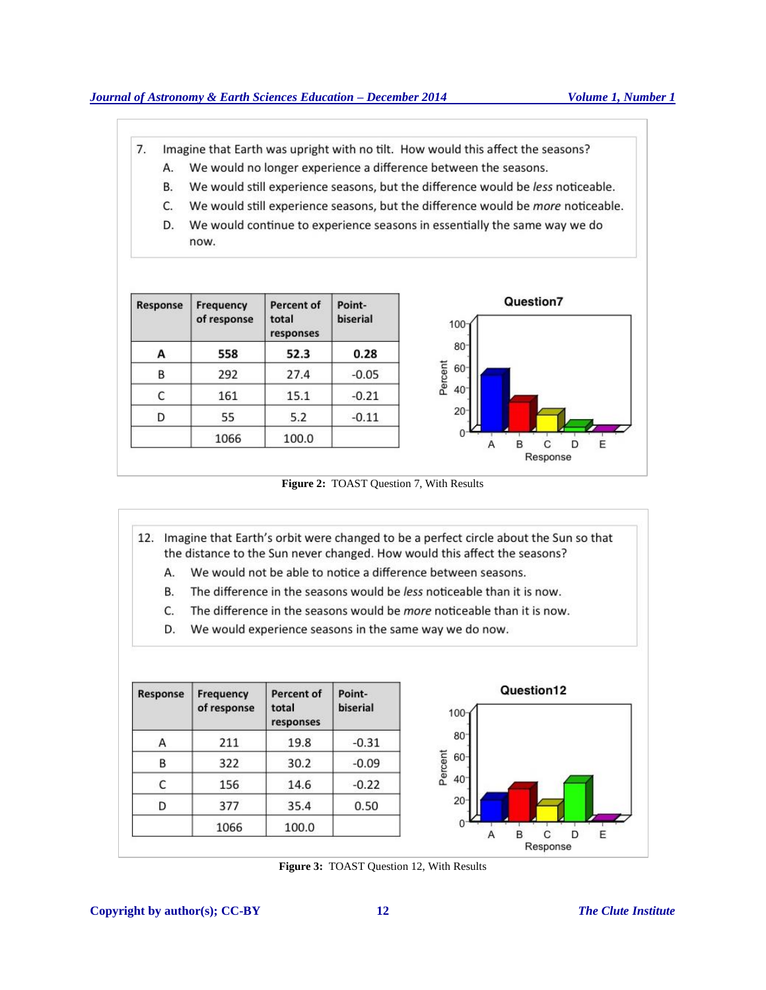- 7. Imagine that Earth was upright with no tilt. How would this affect the seasons?
	- We would no longer experience a difference between the seasons. A.
	- We would still experience seasons, but the difference would be less noticeable. В.
	- C. We would still experience seasons, but the difference would be more noticeable.
	- D. We would continue to experience seasons in essentially the same way we do now.

| Response | Frequency<br>of response | Percent of<br>total<br>responses | Point-<br>biserial | $100 -$       |
|----------|--------------------------|----------------------------------|--------------------|---------------|
| А        | 558                      | 52.3                             | 0.28               | 80            |
| В        | 292                      | 27.4                             | $-0.05$            | Percent<br>60 |
| C        | 161                      | 15.1                             | $-0.21$            | 40            |
| D        | 55                       | 5.2                              | $-0.11$            | 20            |
|          | 1066                     | 100.0                            |                    |               |



**Figure 2:** TOAST Question 7, With Results

- 12. Imagine that Earth's orbit were changed to be a perfect circle about the Sun so that the distance to the Sun never changed. How would this affect the seasons?
	- A. We would not be able to notice a difference between seasons.
	- B. The difference in the seasons would be less noticeable than it is now.
	- C. The difference in the seasons would be *more* noticeable than it is now.
	- D. We would experience seasons in the same way we do now.

| Response | <b>Frequency</b><br>of response | Percent of<br>total<br>responses | Point-<br>biserial |  |
|----------|---------------------------------|----------------------------------|--------------------|--|
|          | 211                             | 19.8                             | $-0.31$            |  |
| R        | 322<br>156                      | 30.2                             | $-0.09$<br>$-0.22$ |  |
| C        |                                 | 14.6                             |                    |  |
| D        | 377                             | 35.4                             | 0.50               |  |
|          | 1066                            | 100.0                            |                    |  |



**Figure 3:** TOAST Question 12, With Results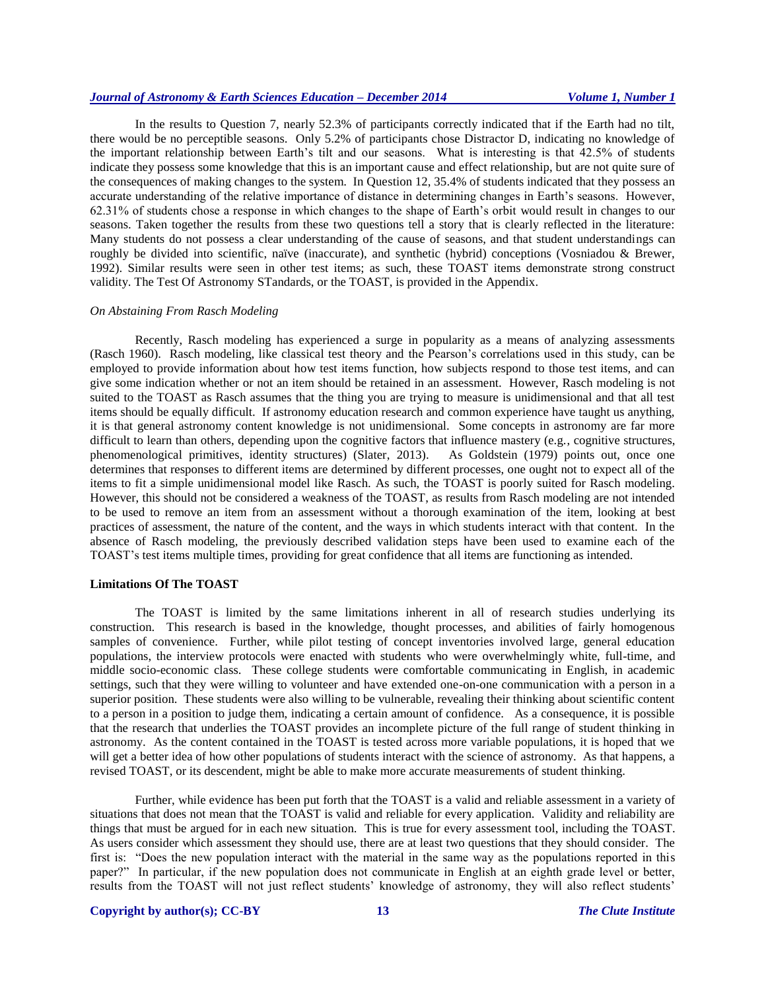In the results to Question 7, nearly 52.3% of participants correctly indicated that if the Earth had no tilt, there would be no perceptible seasons. Only 5.2% of participants chose Distractor D, indicating no knowledge of the important relationship between Earth's tilt and our seasons. What is interesting is that 42.5% of students indicate they possess some knowledge that this is an important cause and effect relationship, but are not quite sure of the consequences of making changes to the system. In Question 12, 35.4% of students indicated that they possess an accurate understanding of the relative importance of distance in determining changes in Earth's seasons. However, 62.31% of students chose a response in which changes to the shape of Earth's orbit would result in changes to our seasons. Taken together the results from these two questions tell a story that is clearly reflected in the literature: Many students do not possess a clear understanding of the cause of seasons, and that student understandings can roughly be divided into scientific, naïve (inaccurate), and synthetic (hybrid) conceptions (Vosniadou & Brewer, 1992). Similar results were seen in other test items; as such, these TOAST items demonstrate strong construct validity. The Test Of Astronomy STandards, or the TOAST, is provided in the Appendix.

## *On Abstaining From Rasch Modeling*

Recently, Rasch modeling has experienced a surge in popularity as a means of analyzing assessments (Rasch 1960). Rasch modeling, like classical test theory and the Pearson's correlations used in this study, can be employed to provide information about how test items function, how subjects respond to those test items, and can give some indication whether or not an item should be retained in an assessment. However, Rasch modeling is not suited to the TOAST as Rasch assumes that the thing you are trying to measure is unidimensional and that all test items should be equally difficult. If astronomy education research and common experience have taught us anything, it is that general astronomy content knowledge is not unidimensional. Some concepts in astronomy are far more difficult to learn than others, depending upon the cognitive factors that influence mastery (e.g., cognitive structures, phenomenological primitives, identity structures) (Slater, 2013). As Goldstein (1979) points out, once one determines that responses to different items are determined by different processes, one ought not to expect all of the items to fit a simple unidimensional model like Rasch. As such, the TOAST is poorly suited for Rasch modeling. However, this should not be considered a weakness of the TOAST, as results from Rasch modeling are not intended to be used to remove an item from an assessment without a thorough examination of the item, looking at best practices of assessment, the nature of the content, and the ways in which students interact with that content. In the absence of Rasch modeling, the previously described validation steps have been used to examine each of the TOAST's test items multiple times, providing for great confidence that all items are functioning as intended.

#### **Limitations Of The TOAST**

The TOAST is limited by the same limitations inherent in all of research studies underlying its construction. This research is based in the knowledge, thought processes, and abilities of fairly homogenous samples of convenience. Further, while pilot testing of concept inventories involved large, general education populations, the interview protocols were enacted with students who were overwhelmingly white, full-time, and middle socio-economic class. These college students were comfortable communicating in English, in academic settings, such that they were willing to volunteer and have extended one-on-one communication with a person in a superior position. These students were also willing to be vulnerable, revealing their thinking about scientific content to a person in a position to judge them, indicating a certain amount of confidence. As a consequence, it is possible that the research that underlies the TOAST provides an incomplete picture of the full range of student thinking in astronomy. As the content contained in the TOAST is tested across more variable populations, it is hoped that we will get a better idea of how other populations of students interact with the science of astronomy. As that happens, a revised TOAST, or its descendent, might be able to make more accurate measurements of student thinking.

Further, while evidence has been put forth that the TOAST is a valid and reliable assessment in a variety of situations that does not mean that the TOAST is valid and reliable for every application. Validity and reliability are things that must be argued for in each new situation. This is true for every assessment tool, including the TOAST. As users consider which assessment they should use, there are at least two questions that they should consider. The first is: "Does the new population interact with the material in the same way as the populations reported in this paper?" In particular, if the new population does not communicate in English at an eighth grade level or better, results from the TOAST will not just reflect students' knowledge of astronomy, they will also reflect students'

#### **Copyright by author(s); CC-BY 13** *The Clute Institute*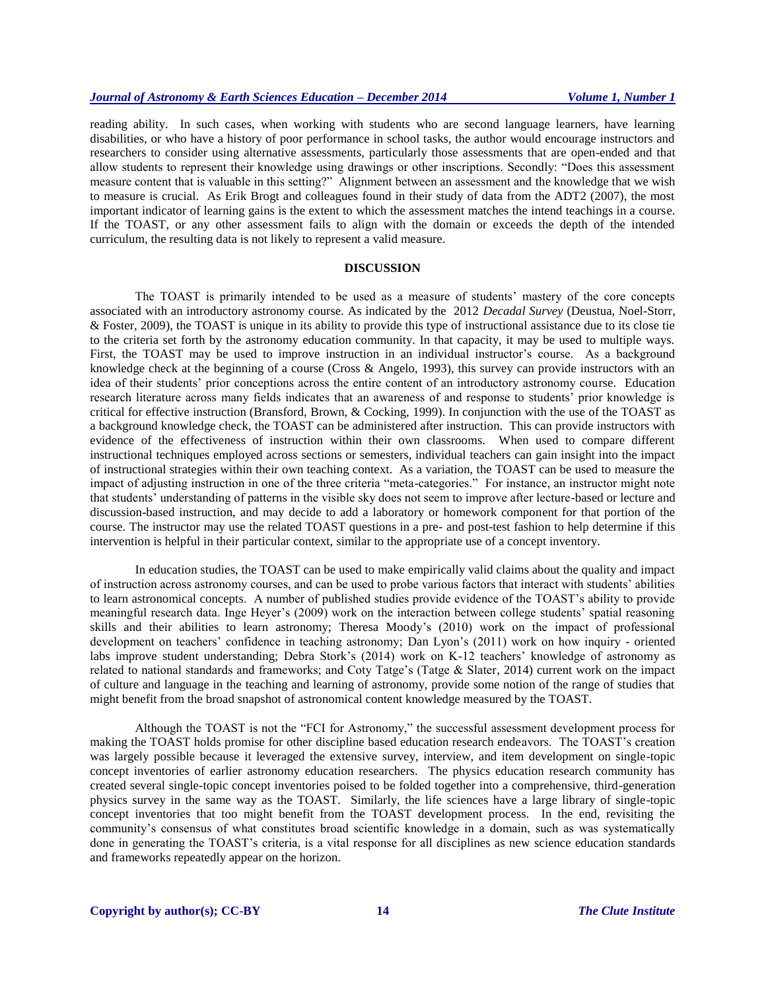reading ability. In such cases, when working with students who are second language learners, have learning disabilities, or who have a history of poor performance in school tasks, the author would encourage instructors and researchers to consider using alternative assessments, particularly those assessments that are open-ended and that allow students to represent their knowledge using drawings or other inscriptions. Secondly: "Does this assessment measure content that is valuable in this setting?" Alignment between an assessment and the knowledge that we wish to measure is crucial. As Erik Brogt and colleagues found in their study of data from the ADT2 (2007), the most important indicator of learning gains is the extent to which the assessment matches the intend teachings in a course. If the TOAST, or any other assessment fails to align with the domain or exceeds the depth of the intended curriculum, the resulting data is not likely to represent a valid measure.

## **DISCUSSION**

The TOAST is primarily intended to be used as a measure of students' mastery of the core concepts associated with an introductory astronomy course. As indicated by the 2012 *Decadal Survey* (Deustua, Noel-Storr, & Foster, 2009), the TOAST is unique in its ability to provide this type of instructional assistance due to its close tie to the criteria set forth by the astronomy education community. In that capacity, it may be used to multiple ways. First, the TOAST may be used to improve instruction in an individual instructor's course. As a background knowledge check at the beginning of a course (Cross & Angelo, 1993), this survey can provide instructors with an idea of their students' prior conceptions across the entire content of an introductory astronomy course. Education research literature across many fields indicates that an awareness of and response to students' prior knowledge is critical for effective instruction (Bransford, Brown, & Cocking, 1999). In conjunction with the use of the TOAST as a background knowledge check, the TOAST can be administered after instruction. This can provide instructors with evidence of the effectiveness of instruction within their own classrooms. When used to compare different instructional techniques employed across sections or semesters, individual teachers can gain insight into the impact of instructional strategies within their own teaching context. As a variation, the TOAST can be used to measure the impact of adjusting instruction in one of the three criteria "meta-categories." For instance, an instructor might note that students' understanding of patterns in the visible sky does not seem to improve after lecture-based or lecture and discussion-based instruction, and may decide to add a laboratory or homework component for that portion of the course. The instructor may use the related TOAST questions in a pre- and post-test fashion to help determine if this intervention is helpful in their particular context, similar to the appropriate use of a concept inventory.

In education studies, the TOAST can be used to make empirically valid claims about the quality and impact of instruction across astronomy courses, and can be used to probe various factors that interact with students' abilities to learn astronomical concepts. A number of published studies provide evidence of the TOAST's ability to provide meaningful research data. Inge Heyer's (2009) work on the interaction between college students' spatial reasoning skills and their abilities to learn astronomy; Theresa Moody's (2010) work on the impact of professional development on teachers' confidence in teaching astronomy; Dan Lyon's (2011) work on how inquiry - oriented labs improve student understanding; Debra Stork's (2014) work on K-12 teachers' knowledge of astronomy as related to national standards and frameworks; and Coty Tatge's (Tatge & Slater, 2014) current work on the impact of culture and language in the teaching and learning of astronomy, provide some notion of the range of studies that might benefit from the broad snapshot of astronomical content knowledge measured by the TOAST.

Although the TOAST is not the "FCI for Astronomy," the successful assessment development process for making the TOAST holds promise for other discipline based education research endeavors. The TOAST's creation was largely possible because it leveraged the extensive survey, interview, and item development on single-topic concept inventories of earlier astronomy education researchers. The physics education research community has created several single-topic concept inventories poised to be folded together into a comprehensive, third-generation physics survey in the same way as the TOAST. Similarly, the life sciences have a large library of single-topic concept inventories that too might benefit from the TOAST development process. In the end, revisiting the community's consensus of what constitutes broad scientific knowledge in a domain, such as was systematically done in generating the TOAST's criteria, is a vital response for all disciplines as new science education standards and frameworks repeatedly appear on the horizon.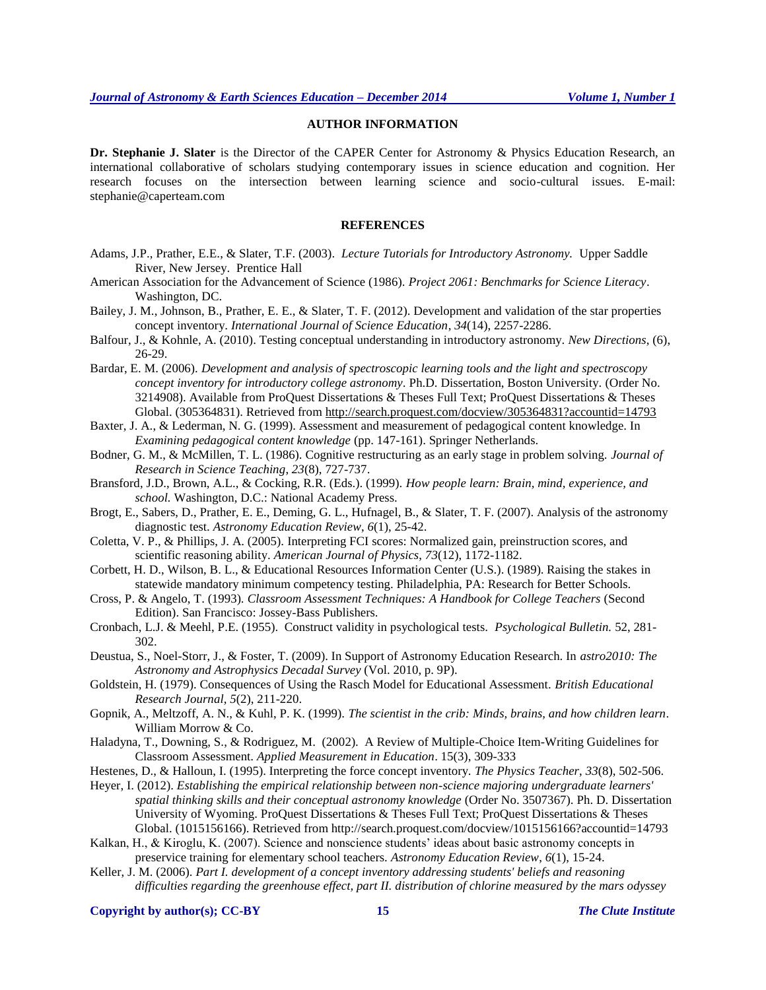## **AUTHOR INFORMATION**

**Dr. Stephanie J. Slater** is the Director of the CAPER Center for Astronomy & Physics Education Research, an international collaborative of scholars studying contemporary issues in science education and cognition. Her research focuses on the intersection between learning science and socio-cultural issues. E-mail: stephanie@caperteam.com

#### **REFERENCES**

- Adams, J.P., Prather, E.E., & Slater, T.F. (2003). *Lecture Tutorials for Introductory Astronomy.* Upper Saddle River, New Jersey. Prentice Hall
- American Association for the Advancement of Science (1986). *Project 2061: Benchmarks for Science Literacy*. Washington, DC.
- Bailey, J. M., Johnson, B., Prather, E. E., & Slater, T. F. (2012). Development and validation of the star properties concept inventory. *International Journal of Science Education*, *34*(14), 2257-2286.
- Balfour, J., & Kohnle, A. (2010). Testing conceptual understanding in introductory astronomy. *New Directions*, (6), 26-29.
- Bardar, E. M. (2006). *Development and analysis of spectroscopic learning tools and the light and spectroscopy concept inventory for introductory college astronomy.* Ph.D. Dissertation, Boston University. (Order No. 3214908). Available from ProQuest Dissertations & Theses Full Text; ProQuest Dissertations & Theses Global. (305364831). Retrieved from<http://search.proquest.com/docview/305364831?accountid=14793>

Baxter, J. A., & Lederman, N. G. (1999). Assessment and measurement of pedagogical content knowledge. In *Examining pedagogical content knowledge* (pp. 147-161). Springer Netherlands.

- Bodner, G. M., & McMillen, T. L. (1986). Cognitive restructuring as an early stage in problem solving. *Journal of Research in Science Teaching*, *23*(8), 727-737.
- Bransford, J.D., Brown, A.L., & Cocking, R.R. (Eds.). (1999). *How people learn: Brain, mind, experience, and school.* Washington, D.C.: National Academy Press.
- Brogt, E., Sabers, D., Prather, E. E., Deming, G. L., Hufnagel, B., & Slater, T. F. (2007). Analysis of the astronomy diagnostic test. *Astronomy Education Review*, *6*(1), 25-42.
- Coletta, V. P., & Phillips, J. A. (2005). Interpreting FCI scores: Normalized gain, preinstruction scores, and scientific reasoning ability. *American Journal of Physics*, *73*(12), 1172-1182.
- Corbett, H. D., Wilson, B. L., & Educational Resources Information Center (U.S.). (1989). Raising the stakes in statewide mandatory minimum competency testing. Philadelphia, PA: Research for Better Schools.
- Cross, P. & Angelo, T. (1993). *Classroom Assessment Techniques: A Handbook for College Teachers* (Second Edition). San Francisco: Jossey-Bass Publishers.
- Cronbach, L.J. & Meehl, P.E. (1955). Construct validity in psychological tests. *Psychological Bulletin.* 52, 281- 302.
- Deustua, S., Noel-Storr, J., & Foster, T. (2009). In Support of Astronomy Education Research. In *astro2010: The Astronomy and Astrophysics Decadal Survey* (Vol. 2010, p. 9P).
- Goldstein, H. (1979). Consequences of Using the Rasch Model for Educational Assessment. *British Educational Research Journal*, *5*(2), 211-220.
- Gopnik, A., Meltzoff, A. N., & Kuhl, P. K. (1999). *The scientist in the crib: Minds, brains, and how children learn*. William Morrow & Co.
- Haladyna, T., Downing, S., & Rodriguez, M. (2002). A Review of Multiple-Choice Item-Writing Guidelines for Classroom Assessment. *Applied Measurement in Education*. 15(3), 309-333
- Hestenes, D., & Halloun, I. (1995). Interpreting the force concept inventory. *The Physics Teacher*, *33*(8), 502-506.
- Heyer, I. (2012). *Establishing the empirical relationship between non-science majoring undergraduate learners' spatial thinking skills and their conceptual astronomy knowledge* (Order No. 3507367). Ph. D. Dissertation University of Wyoming. ProQuest Dissertations & Theses Full Text; ProQuest Dissertations & Theses Global. (1015156166). Retrieved from http://search.proquest.com/docview/1015156166?accountid=14793
- Kalkan, H., & Kiroglu, K. (2007). Science and nonscience students' ideas about basic astronomy concepts in preservice training for elementary school teachers. *Astronomy Education Review*, *6*(1), 15-24.
- Keller, J. M. (2006). *Part I. development of a concept inventory addressing students' beliefs and reasoning difficulties regarding the greenhouse effect, part II. distribution of chlorine measured by the mars odyssey*

**Copyright by author(s); CC-BY 15** *The Clute Institute*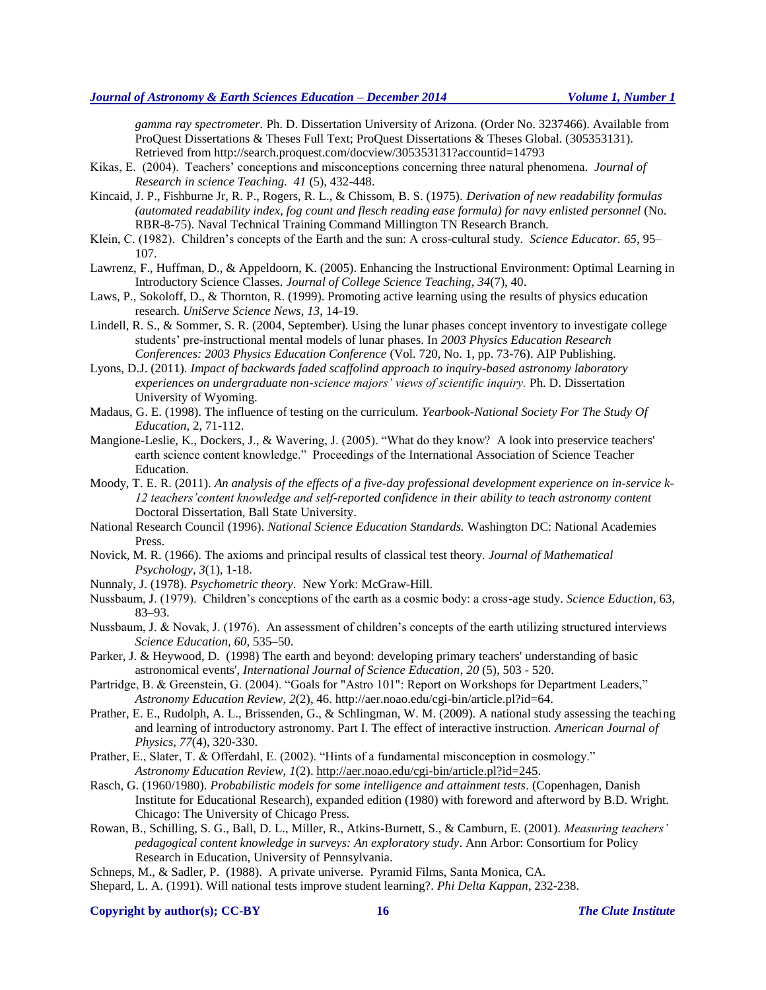*gamma ray spectrometer.* Ph. D. Dissertation University of Arizona. (Order No. 3237466). Available from ProQuest Dissertations & Theses Full Text; ProQuest Dissertations & Theses Global. (305353131). Retrieved from http://search.proquest.com/docview/305353131?accountid=14793

- Kikas, E. (2004). Teachers' conceptions and misconceptions concerning three natural phenomena. *Journal of Research in science Teaching. 41* (5), 432-448.
- Kincaid, J. P., Fishburne Jr, R. P., Rogers, R. L., & Chissom, B. S. (1975). *Derivation of new readability formulas (automated readability index, fog count and flesch reading ease formula) for navy enlisted personnel* (No. RBR-8-75). Naval Technical Training Command Millington TN Research Branch.
- Klein, C. (1982). Children's concepts of the Earth and the sun: A cross-cultural study. *Science Educator. 65*, 95– 107.
- Lawrenz, F., Huffman, D., & Appeldoorn, K. (2005). Enhancing the Instructional Environment: Optimal Learning in Introductory Science Classes. *Journal of College Science Teaching*, *34*(7), 40.
- Laws, P., Sokoloff, D., & Thornton, R. (1999). Promoting active learning using the results of physics education research. *UniServe Science News*, *13*, 14-19.
- Lindell, R. S., & Sommer, S. R. (2004, September). Using the lunar phases concept inventory to investigate college students' pre-instructional mental models of lunar phases. In *2003 Physics Education Research Conferences: 2003 Physics Education Conference* (Vol. 720, No. 1, pp. 73-76). AIP Publishing.
- Lyons, D.J. (2011). *Impact of backwards faded scaffolind approach to inquiry-based astronomy laboratory*  experiences on undergraduate non-science majors' views of scientific inquiry. Ph. D. Dissertation University of Wyoming.
- Madaus, G. E. (1998). The influence of testing on the curriculum. *Yearbook-National Society For The Study Of Education*, 2, 71-112.
- Mangione-Leslie, K., Dockers, J., & Wavering, J. (2005). "What do they know? A look into preservice teachers' earth science content knowledge." Proceedings of the International Association of Science Teacher Education.
- Moody, T. E. R. (2011). *An analysis of the effects of a five-day professional development experience on in-service k-12 teachers'content knowledge and self-reported confidence in their ability to teach astronomy content* Doctoral Dissertation, Ball State University.
- National Research Council (1996). *National Science Education Standards.* Washington DC: National Academies Press.
- Novick, M. R. (1966). The axioms and principal results of classical test theory. *Journal of Mathematical Psychology*, *3*(1), 1-18.
- Nunnaly, J. (1978). *Psychometric theory*. New York: McGraw-Hill.
- Nussbaum, J. (1979). Children's conceptions of the earth as a cosmic body: a cross-age study. *Science Eduction,* 63, 83–93.
- Nussbaum, J. & Novak, J. (1976). An assessment of children's concepts of the earth utilizing structured interviews *Science Education, 60*, 535–50.
- Parker, J. & Heywood, D. (1998) The earth and beyond: developing primary teachers' understanding of basic astronomical events', *International Journal of Science Education*, *20* (5), 503 - 520.
- Partridge, B. & Greenstein, G. (2004). "Goals for "Astro 101": Report on Workshops for Department Leaders," *Astronomy Education Review*, *2*(2), 46. http://aer.noao.edu/cgi-bin/article.pl?id=64.
- Prather, E. E., Rudolph, A. L., Brissenden, G., & Schlingman, W. M. (2009). A national study assessing the teaching and learning of introductory astronomy. Part I. The effect of interactive instruction. *American Journal of Physics*, *77*(4), 320-330.
- Prather, E., Slater, T. & Offerdahl, E. (2002). "Hints of a fundamental misconception in cosmology." *Astronomy Education Review*, *1*(2). [http://aer.noao.edu/cgi-bin/article.pl?id=245.](http://aer.noao.edu/cgi-bin/article.pl?id=245)
- Rasch, G. (1960/1980). *Probabilistic models for some intelligence and attainment tests*. (Copenhagen, Danish Institute for Educational Research), expanded edition (1980) with foreword and afterword by B.D. Wright. Chicago: The University of Chicago Press.
- Rowan, B., Schilling, S. G., Ball, D. L., Miller, R., Atkins-Burnett, S., & Camburn, E. (2001). *Measuring teachers' pedagogical content knowledge in surveys: An exploratory study*. Ann Arbor: Consortium for Policy Research in Education, University of Pennsylvania.
- Schneps, M., & Sadler, P. (1988). A private universe. Pyramid Films, Santa Monica, CA.
- Shepard, L. A. (1991). Will national tests improve student learning?. *Phi Delta Kappan*, 232-238.

#### **Copyright by author(s); CC-BY 16 16** *The Clute Institute*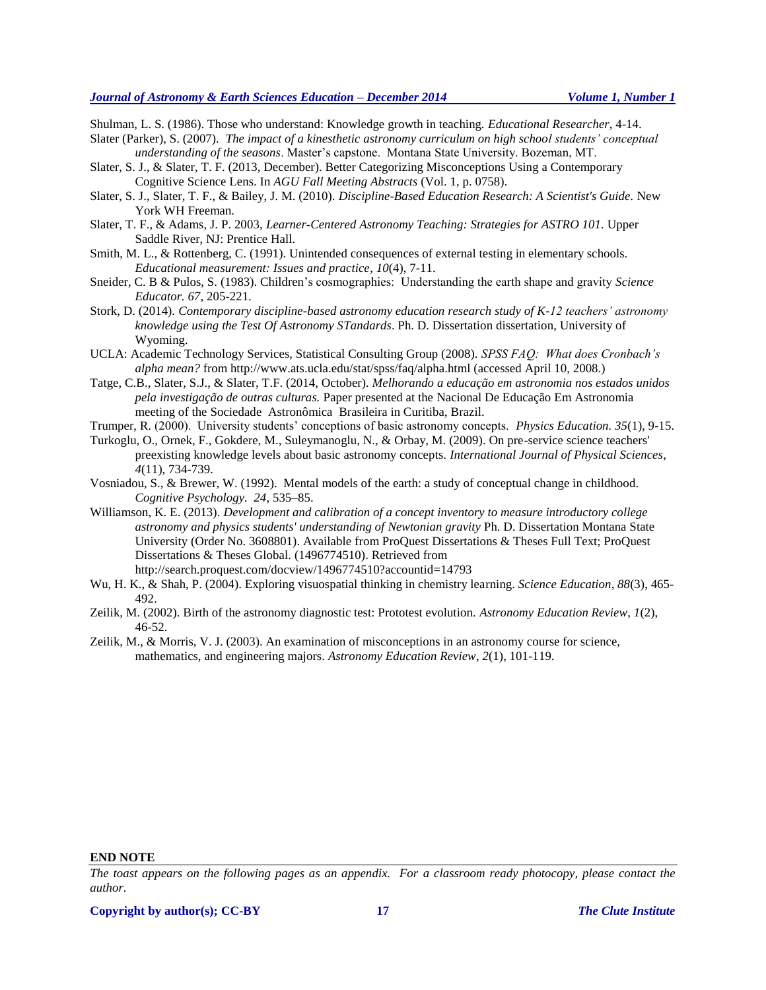Shulman, L. S. (1986). Those who understand: Knowledge growth in teaching. *Educational Researcher*, 4-14. Slater (Parker), S. (2007). *The impact of a kinesthetic astronomy curriculum on high school students' conceptual* 

*understanding of the seasons*. Master's capstone. Montana State University. Bozeman, MT. Slater, S. J., & Slater, T. F. (2013, December). Better Categorizing Misconceptions Using a Contemporary

Cognitive Science Lens. In *AGU Fall Meeting Abstracts* (Vol. 1, p. 0758).

- Slater, S. J., Slater, T. F., & Bailey, J. M. (2010). *Discipline-Based Education Research: A Scientist's Guide.* New York WH Freeman.
- Slater, T. F., & Adams, J. P. 2003, *Learner-Centered Astronomy Teaching: Strategies for ASTRO 101.* Upper Saddle River, NJ: Prentice Hall.
- Smith, M. L., & Rottenberg, C. (1991). Unintended consequences of external testing in elementary schools. *Educational measurement: Issues and practice*, *10*(4), 7-11.
- Sneider, C. B & Pulos, S. (1983). Children's cosmographies: Understanding the earth shape and gravity *Science Educator. 67*, 205-221.
- Stork, D. (2014). *Contemporary discipline-based astronomy education research study of K-12 teachers' astronomy knowledge using the Test Of Astronomy STandards*. Ph. D. Dissertation dissertation, University of Wyoming.
- UCLA: Academic Technology Services, Statistical Consulting Group (2008). *SPSS FAQ: What does Cronbach's alpha mean?* from http://www.ats.ucla.edu/stat/spss/faq/alpha.html (accessed April 10, 2008.)
- Tatge, C.B., Slater, S.J., & Slater, T.F. (2014, October). *Melhorando a educação em astronomia nos estados unidos pela investigação de outras culturas.* Paper presented at the Nacional De Educação Em Astronomia meeting of the Sociedade Astronômica Brasileira in Curitiba, Brazil.
- Trumper, R. (2000). University students' conceptions of basic astronomy concepts. *Physics Education. 35*(1), 9-15.
- Turkoglu, O., Ornek, F., Gokdere, M., Suleymanoglu, N., & Orbay, M. (2009). On pre-service science teachers' preexisting knowledge levels about basic astronomy concepts. *International Journal of Physical Sciences*, *4*(11), 734-739.
- Vosniadou, S., & Brewer, W. (1992). Mental models of the earth: a study of conceptual change in childhood. *Cognitive Psychology. 24*, 535–85.
- Williamson, K. E. (2013). *Development and calibration of a concept inventory to measure introductory college astronomy and physics students' understanding of Newtonian gravity* Ph. D. Dissertation Montana State University (Order No. 3608801). Available from ProQuest Dissertations & Theses Full Text; ProQuest Dissertations & Theses Global. (1496774510). Retrieved from http://search.proquest.com/docview/1496774510?accountid=14793
- Wu, H. K., & Shah, P. (2004). Exploring visuospatial thinking in chemistry learning. *Science Education*, *88*(3), 465- 492.
- Zeilik, M. (2002). Birth of the astronomy diagnostic test: Prototest evolution. *Astronomy Education Review*, *1*(2), 46-52.
- Zeilik, M., & Morris, V. J. (2003). An examination of misconceptions in an astronomy course for science, mathematics, and engineering majors. *Astronomy Education Review*, *2*(1), 101-119.

#### **END NOTE**

*The toast appears on the following pages as an appendix. For a classroom ready photocopy, please contact the author.*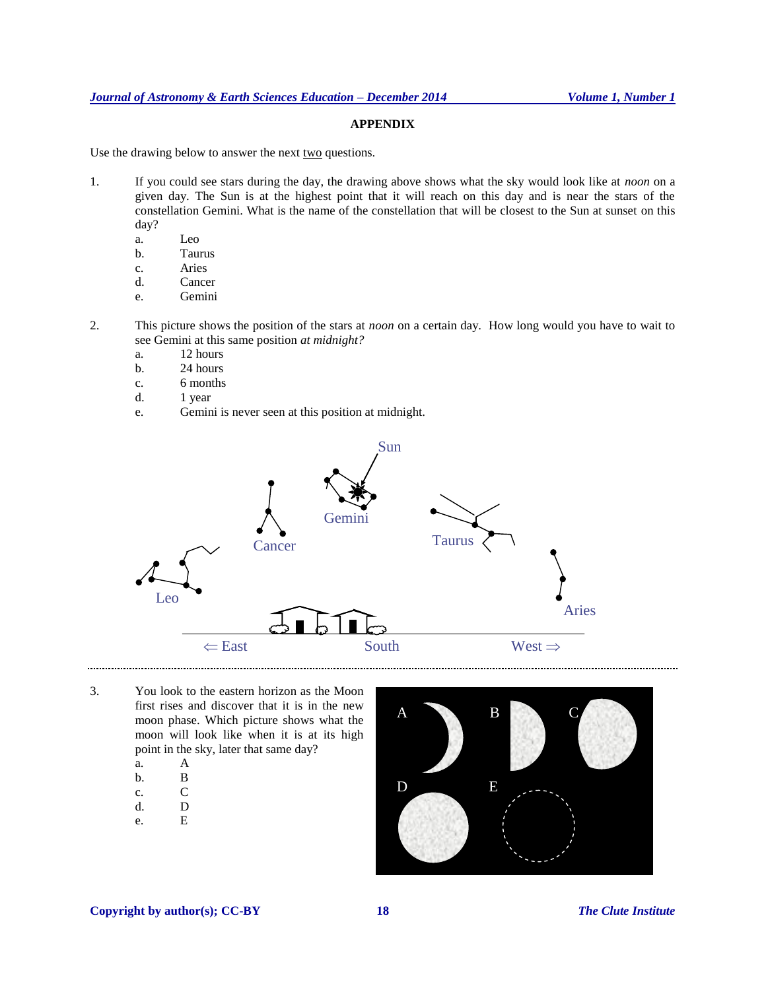# **APPENDIX**

Use the drawing below to answer the next two questions.

- 1. If you could see stars during the day, the drawing above shows what the sky would look like at *noon* on a given day. The Sun is at the highest point that it will reach on this day and is near the stars of the constellation Gemini. What is the name of the constellation that will be closest to the Sun at sunset on this day?
	- a. Leo
	- b. Taurus
	- c. Aries
	- d. Cancer
	- e. Gemini
- 2. This picture shows the position of the stars at *noon* on a certain day. How long would you have to wait to see Gemini at this same position *at midnight?*
	- a. 12 hours
	- b. 24 hours
	- c. 6 months
	- d. 1 year
	- e. Gemini is never seen at this position at midnight.



- 3. You look to the eastern horizon as the Moon first rises and discover that it is in the new moon phase. Which picture shows what the moon will look like when it is at its high point in the sky, later that same day?
	- a. A
	- b. B
	- c. C
	- d. D
	- e. E

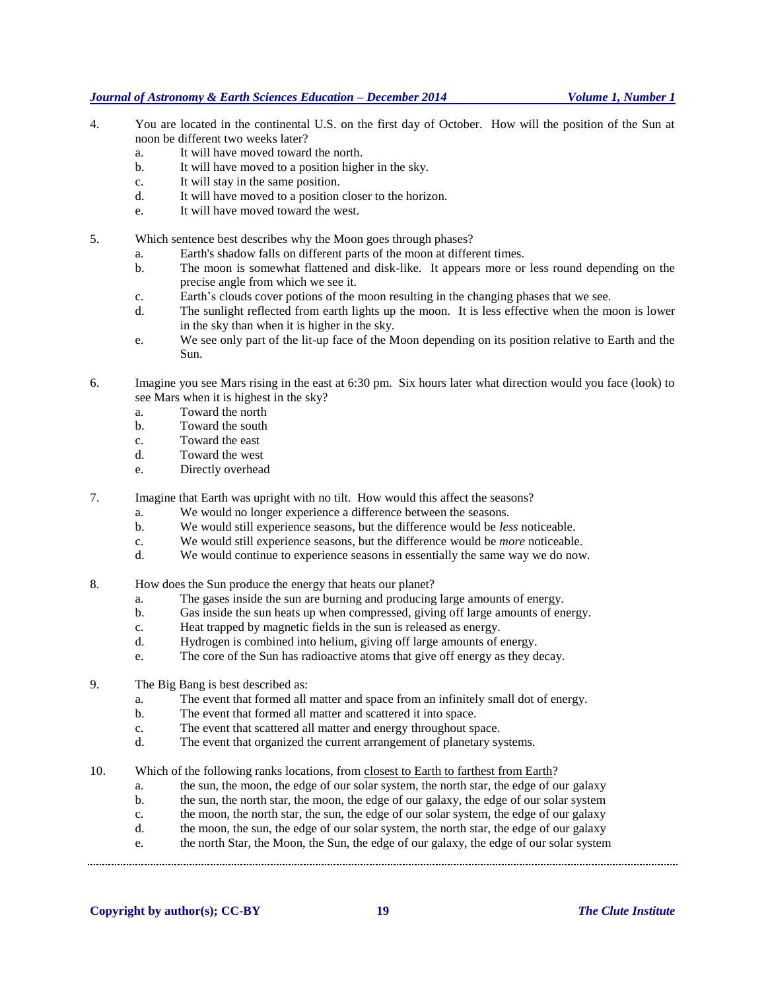- 4. You are located in the continental U.S. on the first day of October. How will the position of the Sun at noon be different two weeks later?
	- a. It will have moved toward the north.
	- b. It will have moved to a position higher in the sky.
	- c. It will stay in the same position.
	- d. It will have moved to a position closer to the horizon.
	- e. It will have moved toward the west.
- 5. Which sentence best describes why the Moon goes through phases?
	- a. Earth's shadow falls on different parts of the moon at different times.
	- b. The moon is somewhat flattened and disk-like. It appears more or less round depending on the precise angle from which we see it.
	- c. Earth's clouds cover potions of the moon resulting in the changing phases that we see.
	- d. The sunlight reflected from earth lights up the moon. It is less effective when the moon is lower in the sky than when it is higher in the sky.
	- e. We see only part of the lit-up face of the Moon depending on its position relative to Earth and the Sun.
- 6. Imagine you see Mars rising in the east at 6:30 pm. Six hours later what direction would you face (look) to see Mars when it is highest in the sky?
	- a. Toward the north
	- b. Toward the south
	- c. Toward the east
	- d. Toward the west
	- e. Directly overhead
- 7. Imagine that Earth was upright with no tilt. How would this affect the seasons?
	- a. We would no longer experience a difference between the seasons.
	- b. We would still experience seasons, but the difference would be *less* noticeable.
	- c. We would still experience seasons, but the difference would be *more* noticeable.
	- d. We would continue to experience seasons in essentially the same way we do now.
- 8. How does the Sun produce the energy that heats our planet?
	- a. The gases inside the sun are burning and producing large amounts of energy.
	- b. Gas inside the sun heats up when compressed, giving off large amounts of energy.
	- c. Heat trapped by magnetic fields in the sun is released as energy.
	- d. Hydrogen is combined into helium, giving off large amounts of energy.
	- e. The core of the Sun has radioactive atoms that give off energy as they decay.
- 9. The Big Bang is best described as:
	- a. The event that formed all matter and space from an infinitely small dot of energy.
	- b. The event that formed all matter and scattered it into space.
	- c. The event that scattered all matter and energy throughout space.
	- d. The event that organized the current arrangement of planetary systems.
- 10. Which of the following ranks locations, from closest to Earth to farthest from Earth?
	- a. the sun, the moon, the edge of our solar system, the north star, the edge of our galaxy
	- b. the sun, the north star, the moon, the edge of our galaxy, the edge of our solar system
	- c. the moon, the north star, the sun, the edge of our solar system, the edge of our galaxy
	- d. the moon, the sun, the edge of our solar system, the north star, the edge of our galaxy
	- e. the north Star, the Moon, the Sun, the edge of our galaxy, the edge of our solar system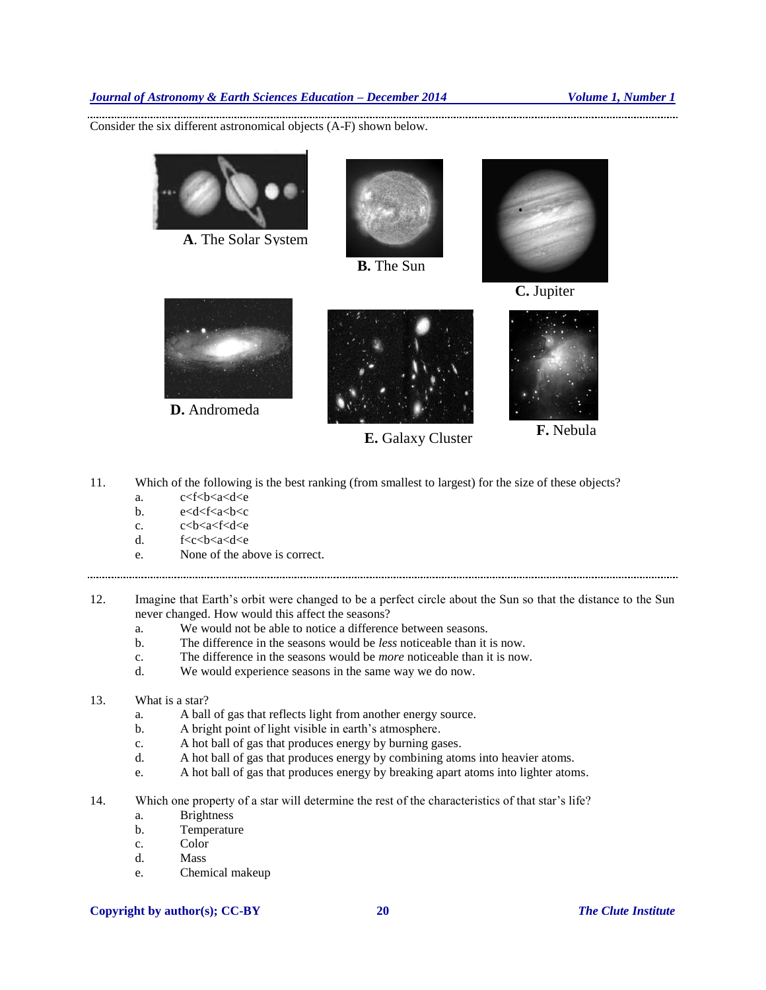Consider the six different astronomical objects (A-F) shown below.



**A**. The Solar System



**B.** The Sun







**D.** Andromeda



**E.** Galaxy Cluster



**F.** Nebula

- 11. Which of the following is the best ranking (from smallest to largest) for the size of these objects?
	- a. c<f<br/>k<br/>6<a<d<e
	- b. e<d<f<a<br/>s\ec
	- c. c<br/> c<br/>b<a<f<d<e
	- d. f<c<br/><br/>c<br/>d<a>
	- e. None of the above is correct.
- 12. Imagine that Earth's orbit were changed to be a perfect circle about the Sun so that the distance to the Sun never changed. How would this affect the seasons?

- a. We would not be able to notice a difference between seasons.
- b. The difference in the seasons would be *less* noticeable than it is now.
- c. The difference in the seasons would be *more* noticeable than it is now.
- d. We would experience seasons in the same way we do now.
- 13. What is a star?
	- a. A ball of gas that reflects light from another energy source.
	- b. A bright point of light visible in earth's atmosphere.
	- c. A hot ball of gas that produces energy by burning gases.
	- d. A hot ball of gas that produces energy by combining atoms into heavier atoms.
	- e. A hot ball of gas that produces energy by breaking apart atoms into lighter atoms.
- 14. Which one property of a star will determine the rest of the characteristics of that star's life?
	- a. Brightness
	- b. Temperature
	- c. Color
	- d. Mass
	- e. Chemical makeup

### **Copyright by author(s); CC-BY 20** *The Clute Institute*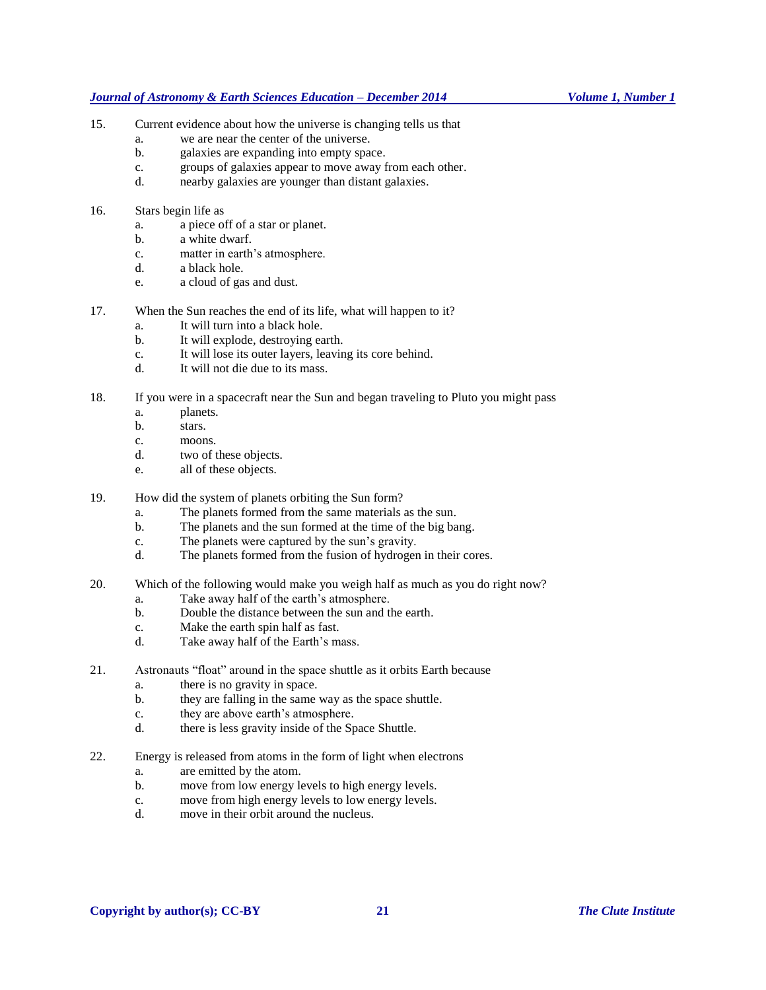- 15. Current evidence about how the universe is changing tells us that
	- a. we are near the center of the universe.
	- b. galaxies are expanding into empty space.
	- c. groups of galaxies appear to move away from each other.
	- d. nearby galaxies are younger than distant galaxies.
- 16. Stars begin life as
	- a. a piece off of a star or planet.
	- b. a white dwarf.
	- c. matter in earth's atmosphere.
	- d. a black hole.
	- e. a cloud of gas and dust.
- 17. When the Sun reaches the end of its life, what will happen to it?
	- a. It will turn into a black hole.
	- b. It will explode, destroying earth.
	- c. It will lose its outer layers, leaving its core behind.
	- d. It will not die due to its mass.
- 18. If you were in a spacecraft near the Sun and began traveling to Pluto you might pass
	- a. planets.
	- b. stars.
	- c. moons.
	- d. two of these objects.
	- e. all of these objects.
- 19. How did the system of planets orbiting the Sun form?
	- a. The planets formed from the same materials as the sun.
	- b. The planets and the sun formed at the time of the big bang.
	- c. The planets were captured by the sun's gravity.
	- d. The planets formed from the fusion of hydrogen in their cores.
- 20. Which of the following would make you weigh half as much as you do right now?
	- a. Take away half of the earth's atmosphere.
	- b. Double the distance between the sun and the earth.
	- c. Make the earth spin half as fast.
	- d. Take away half of the Earth's mass.
- 21. Astronauts "float" around in the space shuttle as it orbits Earth because
	- a. there is no gravity in space.
	- b. they are falling in the same way as the space shuttle.
	- c. they are above earth's atmosphere.
	- d. there is less gravity inside of the Space Shuttle.
- 22. Energy is released from atoms in the form of light when electrons
	- a. are emitted by the atom.
	- b. move from low energy levels to high energy levels.
	- c. move from high energy levels to low energy levels.
	- d. move in their orbit around the nucleus.